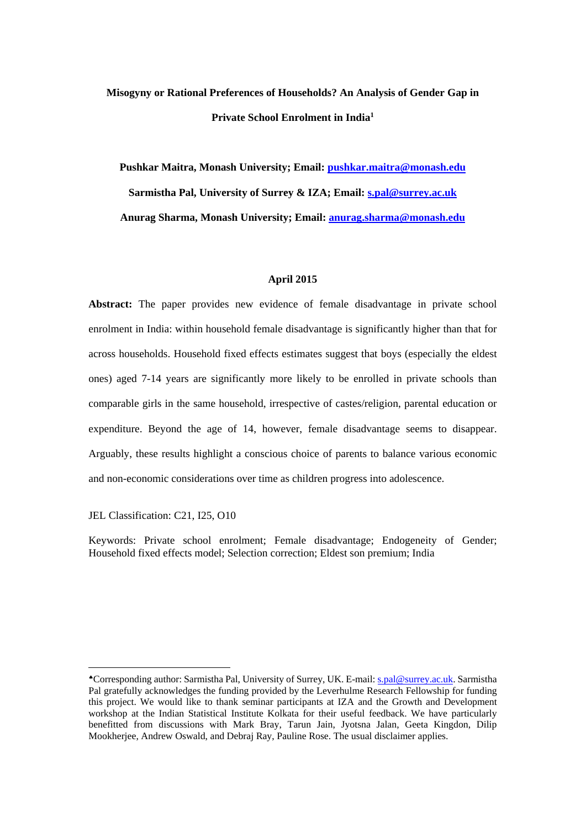# **Misogyny or Rational Preferences of Households? An Analysis of Gender Gap in Private School Enrolment in India1**

**Pushkar Maitra, Monash University; Email: pushkar.maitra@monash.edu Sarmistha Pal, University of Surrey & IZA; Email: s.pal@surrey.ac.uk Anurag Sharma, Monash University; Email: anurag.sharma@monash.edu**

#### **April 2015**

**Abstract:** The paper provides new evidence of female disadvantage in private school enrolment in India: within household female disadvantage is significantly higher than that for across households. Household fixed effects estimates suggest that boys (especially the eldest ones) aged 7-14 years are significantly more likely to be enrolled in private schools than comparable girls in the same household, irrespective of castes/religion, parental education or expenditure. Beyond the age of 14, however, female disadvantage seems to disappear. Arguably, these results highlight a conscious choice of parents to balance various economic and non-economic considerations over time as children progress into adolescence.

JEL Classification: C21, I25, O10

 

Keywords: Private school enrolment; Female disadvantage; Endogeneity of Gender; Household fixed effects model; Selection correction; Eldest son premium; India

Corresponding author: Sarmistha Pal, University of Surrey, UK. E-mail: s.pal@surrey.ac.uk. Sarmistha Pal gratefully acknowledges the funding provided by the Leverhulme Research Fellowship for funding this project. We would like to thank seminar participants at IZA and the Growth and Development workshop at the Indian Statistical Institute Kolkata for their useful feedback. We have particularly benefitted from discussions with Mark Bray, Tarun Jain, Jyotsna Jalan, Geeta Kingdon, Dilip Mookherjee, Andrew Oswald, and Debraj Ray, Pauline Rose. The usual disclaimer applies.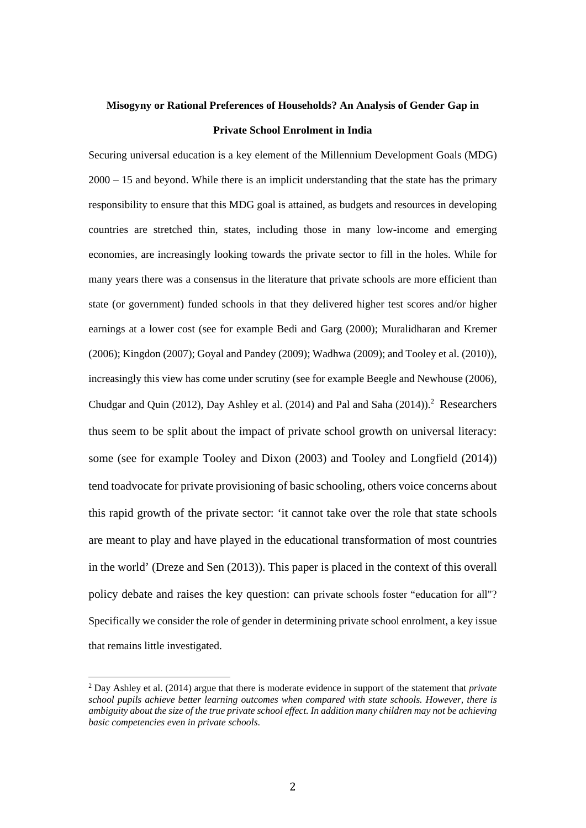# **Misogyny or Rational Preferences of Households? An Analysis of Gender Gap in Private School Enrolment in India**

Securing universal education is a key element of the Millennium Development Goals (MDG) 2000 – 15 and beyond. While there is an implicit understanding that the state has the primary responsibility to ensure that this MDG goal is attained, as budgets and resources in developing countries are stretched thin, states, including those in many low-income and emerging economies, are increasingly looking towards the private sector to fill in the holes. While for many years there was a consensus in the literature that private schools are more efficient than state (or government) funded schools in that they delivered higher test scores and/or higher earnings at a lower cost (see for example Bedi and Garg (2000); Muralidharan and Kremer (2006); Kingdon (2007); Goyal and Pandey (2009); Wadhwa (2009); and Tooley et al. (2010)), increasingly this view has come under scrutiny (see for example Beegle and Newhouse (2006), Chudgar and Quin (2012), Day Ashley et al. (2014) and Pal and Saha (2014)).<sup>2</sup> Researchers thus seem to be split about the impact of private school growth on universal literacy: some (see for example Tooley and Dixon (2003) and Tooley and Longfield (2014)) tend toadvocate for private provisioning of basic schooling, others voice concerns about this rapid growth of the private sector: 'it cannot take over the role that state schools are meant to play and have played in the educational transformation of most countries in the world' (Dreze and Sen (2013)). This paper is placed in the context of this overall policy debate and raises the key question: can private schools foster "education for all"? Specifically we consider the role of gender in determining private school enrolment, a key issue that remains little investigated.

<sup>2</sup> Day Ashley et al. (2014) argue that there is moderate evidence in support of the statement that *private school pupils achieve better learning outcomes when compared with state schools. However, there is ambiguity about the size of the true private school effect. In addition many children may not be achieving basic competencies even in private schools*.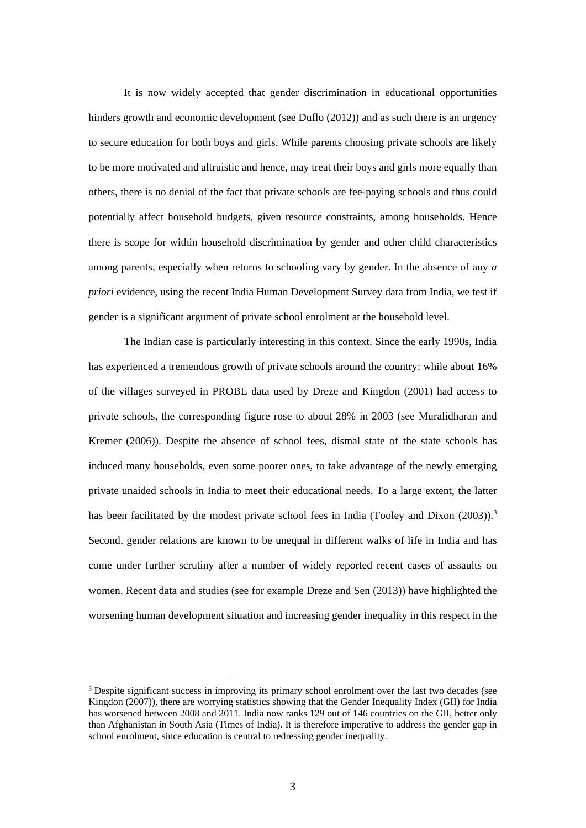It is now widely accepted that gender discrimination in educational opportunities hinders growth and economic development (see Duflo (2012)) and as such there is an urgency to secure education for both boys and girls. While parents choosing private schools are likely to be more motivated and altruistic and hence, may treat their boys and girls more equally than others, there is no denial of the fact that private schools are fee-paying schools and thus could potentially affect household budgets, given resource constraints, among households. Hence there is scope for within household discrimination by gender and other child characteristics among parents, especially when returns to schooling vary by gender. In the absence of any *a priori* evidence, using the recent India Human Development Survey data from India, we test if gender is a significant argument of private school enrolment at the household level.

The Indian case is particularly interesting in this context. Since the early 1990s, India has experienced a tremendous growth of private schools around the country: while about 16% of the villages surveyed in PROBE data used by Dreze and Kingdon (2001) had access to private schools, the corresponding figure rose to about 28% in 2003 (see Muralidharan and Kremer (2006)). Despite the absence of school fees, dismal state of the state schools has induced many households, even some poorer ones, to take advantage of the newly emerging private unaided schools in India to meet their educational needs. To a large extent, the latter has been facilitated by the modest private school fees in India (Tooley and Dixon (2003)).<sup>3</sup> Second, gender relations are known to be unequal in different walks of life in India and has come under further scrutiny after a number of widely reported recent cases of assaults on women. Recent data and studies (see for example Dreze and Sen (2013)) have highlighted the worsening human development situation and increasing gender inequality in this respect in the

<sup>&</sup>lt;sup>3</sup> Despite significant success in improving its primary school enrolment over the last two decades (see Kingdon (2007)), there are worrying statistics showing that the Gender Inequality Index (GII) for India has worsened between 2008 and 2011. India now ranks 129 out of 146 countries on the GII, better only than Afghanistan in South Asia (Times of India). It is therefore imperative to address the gender gap in school enrolment, since education is central to redressing gender inequality.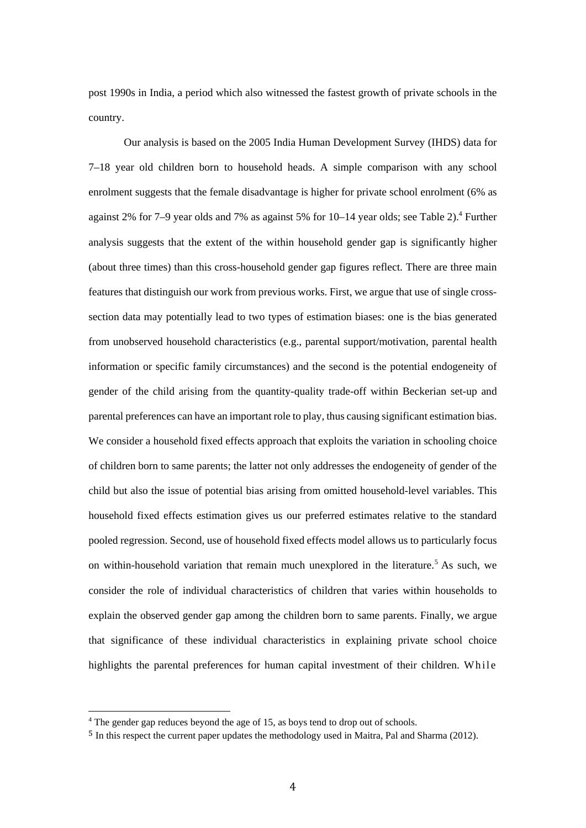post 1990s in India, a period which also witnessed the fastest growth of private schools in the country.

Our analysis is based on the 2005 India Human Development Survey (IHDS) data for 7–18 year old children born to household heads. A simple comparison with any school enrolment suggests that the female disadvantage is higher for private school enrolment (6% as against 2% for 7–9 year olds and 7% as against 5% for  $10-14$  year olds; see Table 2).<sup>4</sup> Further analysis suggests that the extent of the within household gender gap is significantly higher (about three times) than this cross-household gender gap figures reflect. There are three main features that distinguish our work from previous works. First, we argue that use of single crosssection data may potentially lead to two types of estimation biases: one is the bias generated from unobserved household characteristics (e.g., parental support/motivation, parental health information or specific family circumstances) and the second is the potential endogeneity of gender of the child arising from the quantity-quality trade-off within Beckerian set-up and parental preferences can have an important role to play, thus causing significant estimation bias. We consider a household fixed effects approach that exploits the variation in schooling choice of children born to same parents; the latter not only addresses the endogeneity of gender of the child but also the issue of potential bias arising from omitted household-level variables. This household fixed effects estimation gives us our preferred estimates relative to the standard pooled regression. Second, use of household fixed effects model allows us to particularly focus on within-household variation that remain much unexplored in the literature.<sup>5</sup> As such, we consider the role of individual characteristics of children that varies within households to explain the observed gender gap among the children born to same parents. Finally, we argue that significance of these individual characteristics in explaining private school choice highlights the parental preferences for human capital investment of their children. While

<sup>&</sup>lt;sup>4</sup> The gender gap reduces beyond the age of 15, as boys tend to drop out of schools.

<sup>5</sup> In this respect the current paper updates the methodology used in Maitra, Pal and Sharma (2012).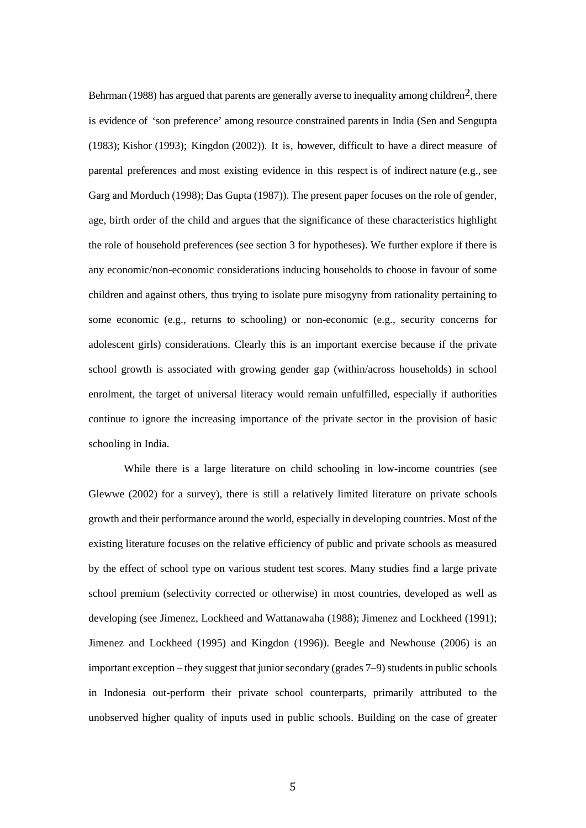Behrman (1988) has argued that parents are generally averse to inequality among children<sup>2</sup>, there is evidence of 'son preference' among resource constrained parents in India (Sen and Sengupta (1983); Kishor (1993); Kingdon (2002)). It is, however, difficult to have a direct measure of parental preferences and most existing evidence in this respect is of indirect nature (e.g., see Garg and Morduch (1998); Das Gupta (1987)). The present paper focuses on the role of gender, age, birth order of the child and argues that the significance of these characteristics highlight the role of household preferences (see section 3 for hypotheses). We further explore if there is any economic/non-economic considerations inducing households to choose in favour of some children and against others, thus trying to isolate pure misogyny from rationality pertaining to some economic (e.g., returns to schooling) or non-economic (e.g., security concerns for adolescent girls) considerations. Clearly this is an important exercise because if the private school growth is associated with growing gender gap (within/across households) in school enrolment, the target of universal literacy would remain unfulfilled, especially if authorities continue to ignore the increasing importance of the private sector in the provision of basic schooling in India.

While there is a large literature on child schooling in low-income countries (see Glewwe (2002) for a survey), there is still a relatively limited literature on private schools growth and their performance around the world, especially in developing countries. Most of the existing literature focuses on the relative efficiency of public and private schools as measured by the effect of school type on various student test scores. Many studies find a large private school premium (selectivity corrected or otherwise) in most countries, developed as well as developing (see Jimenez, Lockheed and Wattanawaha (1988); Jimenez and Lockheed (1991); Jimenez and Lockheed (1995) and Kingdon (1996)). Beegle and Newhouse (2006) is an important exception – they suggest that junior secondary (grades 7–9) students in public schools in Indonesia out-perform their private school counterparts, primarily attributed to the unobserved higher quality of inputs used in public schools. Building on the case of greater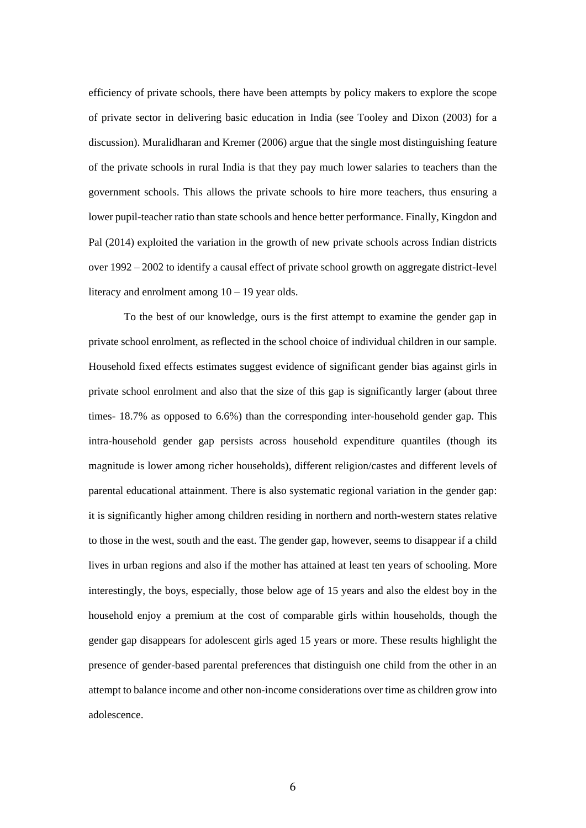efficiency of private schools, there have been attempts by policy makers to explore the scope of private sector in delivering basic education in India (see Tooley and Dixon (2003) for a discussion). Muralidharan and Kremer (2006) argue that the single most distinguishing feature of the private schools in rural India is that they pay much lower salaries to teachers than the government schools. This allows the private schools to hire more teachers, thus ensuring a lower pupil-teacher ratio than state schools and hence better performance. Finally, Kingdon and Pal (2014) exploited the variation in the growth of new private schools across Indian districts over 1992 – 2002 to identify a causal effect of private school growth on aggregate district-level literacy and enrolment among  $10 - 19$  year olds.

To the best of our knowledge, ours is the first attempt to examine the gender gap in private school enrolment, as reflected in the school choice of individual children in our sample. Household fixed effects estimates suggest evidence of significant gender bias against girls in private school enrolment and also that the size of this gap is significantly larger (about three times- 18.7% as opposed to 6.6%) than the corresponding inter-household gender gap. This intra-household gender gap persists across household expenditure quantiles (though its magnitude is lower among richer households), different religion/castes and different levels of parental educational attainment. There is also systematic regional variation in the gender gap: it is significantly higher among children residing in northern and north-western states relative to those in the west, south and the east. The gender gap, however, seems to disappear if a child lives in urban regions and also if the mother has attained at least ten years of schooling. More interestingly, the boys, especially, those below age of 15 years and also the eldest boy in the household enjoy a premium at the cost of comparable girls within households, though the gender gap disappears for adolescent girls aged 15 years or more. These results highlight the presence of gender-based parental preferences that distinguish one child from the other in an attempt to balance income and other non-income considerations over time as children grow into adolescence.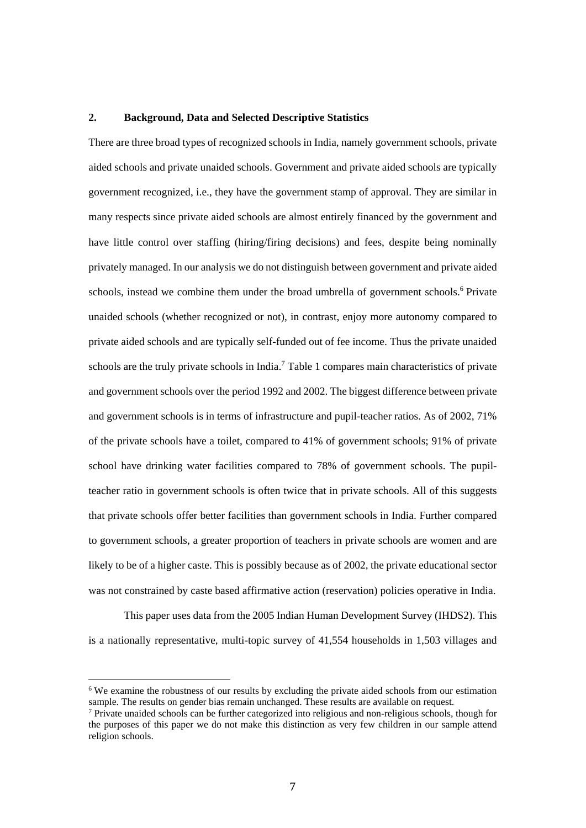#### **2. Background, Data and Selected Descriptive Statistics**

There are three broad types of recognized schools in India, namely government schools, private aided schools and private unaided schools. Government and private aided schools are typically government recognized, i.e., they have the government stamp of approval. They are similar in many respects since private aided schools are almost entirely financed by the government and have little control over staffing (hiring/firing decisions) and fees, despite being nominally privately managed. In our analysis we do not distinguish between government and private aided schools, instead we combine them under the broad umbrella of government schools.<sup>6</sup> Private unaided schools (whether recognized or not), in contrast, enjoy more autonomy compared to private aided schools and are typically self-funded out of fee income. Thus the private unaided schools are the truly private schools in India.<sup>7</sup> Table 1 compares main characteristics of private and government schools over the period 1992 and 2002. The biggest difference between private and government schools is in terms of infrastructure and pupil-teacher ratios. As of 2002, 71% of the private schools have a toilet, compared to 41% of government schools; 91% of private school have drinking water facilities compared to 78% of government schools. The pupilteacher ratio in government schools is often twice that in private schools. All of this suggests that private schools offer better facilities than government schools in India. Further compared to government schools, a greater proportion of teachers in private schools are women and are likely to be of a higher caste. This is possibly because as of 2002, the private educational sector was not constrained by caste based affirmative action (reservation) policies operative in India.

This paper uses data from the 2005 Indian Human Development Survey (IHDS2). This is a nationally representative, multi-topic survey of 41,554 households in 1,503 villages and

<sup>&</sup>lt;sup>6</sup> We examine the robustness of our results by excluding the private aided schools from our estimation sample. The results on gender bias remain unchanged. These results are available on request.

 $\beta$  Private unaided schools can be further categorized into religious and non-religious schools, though for the purposes of this paper we do not make this distinction as very few children in our sample attend religion schools.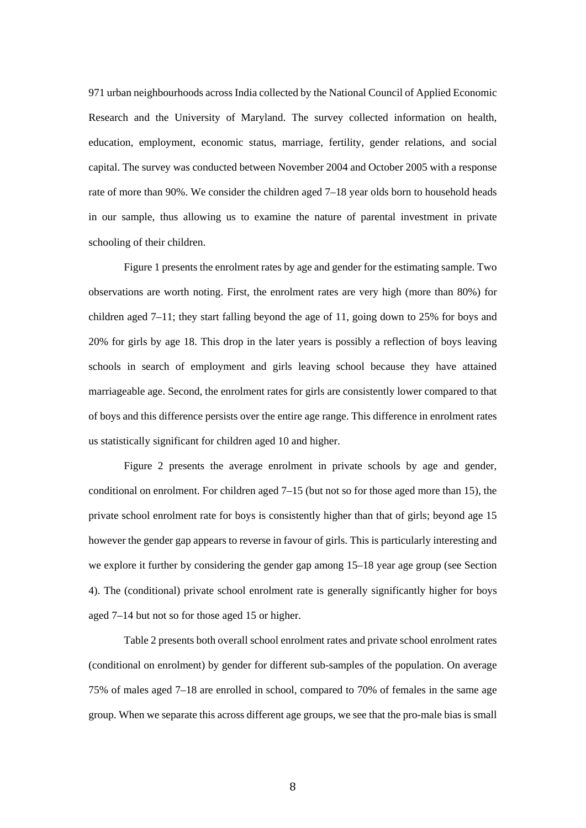971 urban neighbourhoods across India collected by the National Council of Applied Economic Research and the University of Maryland. The survey collected information on health, education, employment, economic status, marriage, fertility, gender relations, and social capital. The survey was conducted between November 2004 and October 2005 with a response rate of more than 90%. We consider the children aged 7–18 year olds born to household heads in our sample, thus allowing us to examine the nature of parental investment in private schooling of their children.

Figure 1 presents the enrolment rates by age and gender for the estimating sample. Two observations are worth noting. First, the enrolment rates are very high (more than 80%) for children aged 7–11; they start falling beyond the age of 11, going down to 25% for boys and 20% for girls by age 18. This drop in the later years is possibly a reflection of boys leaving schools in search of employment and girls leaving school because they have attained marriageable age. Second, the enrolment rates for girls are consistently lower compared to that of boys and this difference persists over the entire age range. This difference in enrolment rates us statistically significant for children aged 10 and higher.

Figure 2 presents the average enrolment in private schools by age and gender, conditional on enrolment. For children aged 7–15 (but not so for those aged more than 15), the private school enrolment rate for boys is consistently higher than that of girls; beyond age 15 however the gender gap appears to reverse in favour of girls. This is particularly interesting and we explore it further by considering the gender gap among 15–18 year age group (see Section 4). The (conditional) private school enrolment rate is generally significantly higher for boys aged 7–14 but not so for those aged 15 or higher.

Table 2 presents both overall school enrolment rates and private school enrolment rates (conditional on enrolment) by gender for different sub-samples of the population. On average 75% of males aged 7–18 are enrolled in school, compared to 70% of females in the same age group. When we separate this across different age groups, we see that the pro-male bias is small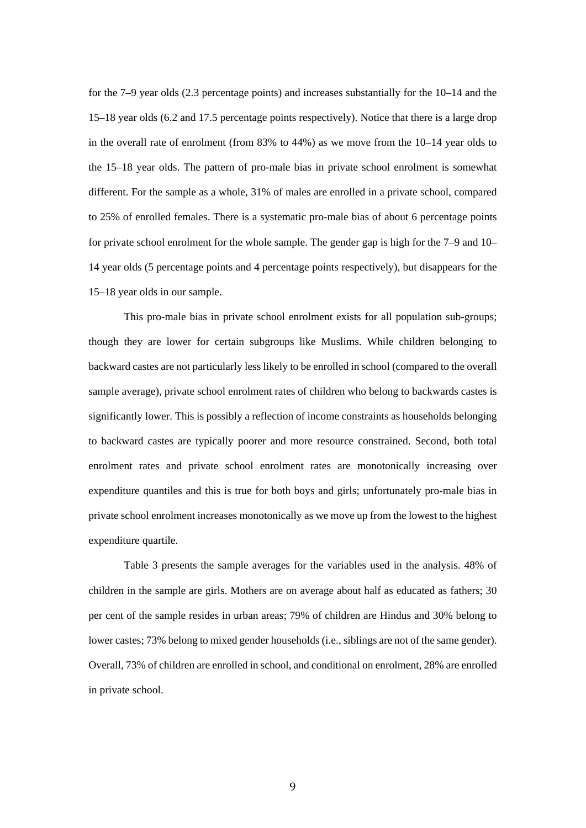for the 7–9 year olds (2.3 percentage points) and increases substantially for the 10–14 and the 15–18 year olds (6.2 and 17.5 percentage points respectively). Notice that there is a large drop in the overall rate of enrolment (from 83% to 44%) as we move from the 10–14 year olds to the 15–18 year olds. The pattern of pro-male bias in private school enrolment is somewhat different. For the sample as a whole, 31% of males are enrolled in a private school, compared to 25% of enrolled females. There is a systematic pro-male bias of about 6 percentage points for private school enrolment for the whole sample. The gender gap is high for the 7–9 and 10– 14 year olds (5 percentage points and 4 percentage points respectively), but disappears for the 15–18 year olds in our sample.

This pro-male bias in private school enrolment exists for all population sub-groups; though they are lower for certain subgroups like Muslims. While children belonging to backward castes are not particularly less likely to be enrolled in school (compared to the overall sample average), private school enrolment rates of children who belong to backwards castes is significantly lower. This is possibly a reflection of income constraints as households belonging to backward castes are typically poorer and more resource constrained. Second, both total enrolment rates and private school enrolment rates are monotonically increasing over expenditure quantiles and this is true for both boys and girls; unfortunately pro-male bias in private school enrolment increases monotonically as we move up from the lowest to the highest expenditure quartile.

Table 3 presents the sample averages for the variables used in the analysis. 48% of children in the sample are girls. Mothers are on average about half as educated as fathers; 30 per cent of the sample resides in urban areas; 79% of children are Hindus and 30% belong to lower castes; 73% belong to mixed gender households (i.e., siblings are not of the same gender). Overall, 73% of children are enrolled in school, and conditional on enrolment, 28% are enrolled in private school.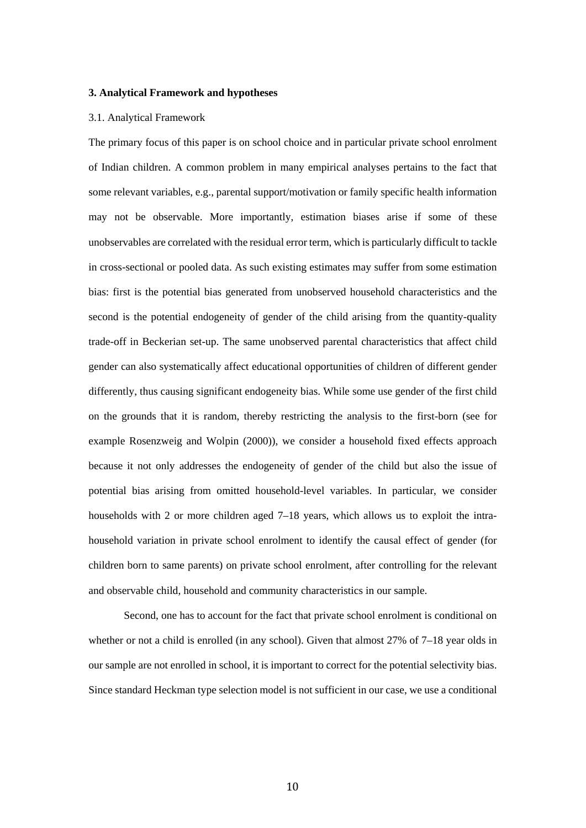#### **3. Analytical Framework and hypotheses**

#### 3.1. Analytical Framework

The primary focus of this paper is on school choice and in particular private school enrolment of Indian children. A common problem in many empirical analyses pertains to the fact that some relevant variables, e.g., parental support/motivation or family specific health information may not be observable. More importantly, estimation biases arise if some of these unobservables are correlated with the residual error term, which is particularly difficult to tackle in cross-sectional or pooled data. As such existing estimates may suffer from some estimation bias: first is the potential bias generated from unobserved household characteristics and the second is the potential endogeneity of gender of the child arising from the quantity-quality trade-off in Beckerian set-up. The same unobserved parental characteristics that affect child gender can also systematically affect educational opportunities of children of different gender differently, thus causing significant endogeneity bias. While some use gender of the first child on the grounds that it is random, thereby restricting the analysis to the first-born (see for example Rosenzweig and Wolpin (2000)), we consider a household fixed effects approach because it not only addresses the endogeneity of gender of the child but also the issue of potential bias arising from omitted household-level variables. In particular, we consider households with 2 or more children aged 7–18 years, which allows us to exploit the intrahousehold variation in private school enrolment to identify the causal effect of gender (for children born to same parents) on private school enrolment, after controlling for the relevant and observable child, household and community characteristics in our sample.

Second, one has to account for the fact that private school enrolment is conditional on whether or not a child is enrolled (in any school). Given that almost 27% of 7–18 year olds in our sample are not enrolled in school, it is important to correct for the potential selectivity bias. Since standard Heckman type selection model is not sufficient in our case, we use a conditional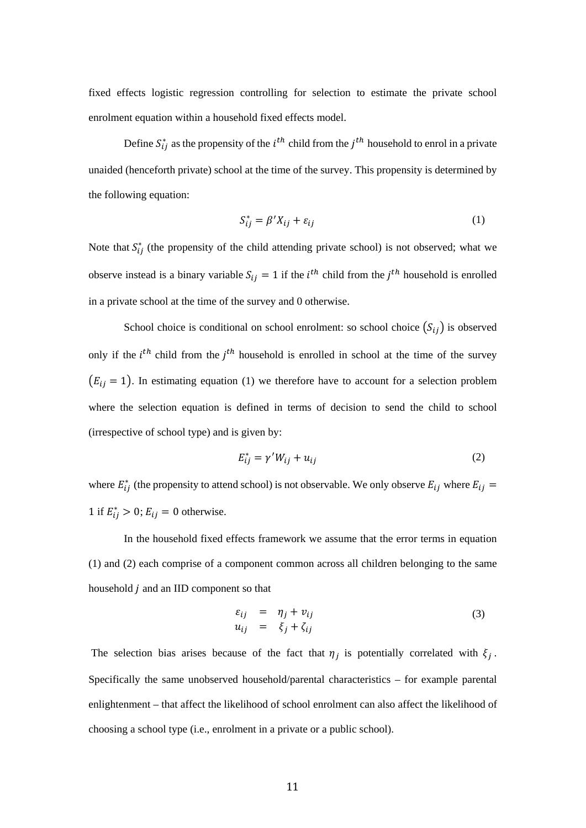fixed effects logistic regression controlling for selection to estimate the private school enrolment equation within a household fixed effects model.

Define  $S_{ij}^*$  as the propensity of the  $i^{th}$  child from the  $j^{th}$  household to enrol in a private unaided (henceforth private) school at the time of the survey. This propensity is determined by the following equation:

$$
S_{ij}^* = \beta' X_{ij} + \varepsilon_{ij}
$$
 (1)

Note that  $S_{ij}^*$  (the propensity of the child attending private school) is not observed; what we observe instead is a binary variable  $S_{ij} = 1$  if the  $i^{th}$  child from the  $j^{th}$  household is enrolled in a private school at the time of the survey and 0 otherwise.

School choice is conditional on school enrolment: so school choice  $(S_{ij})$  is observed only if the  $i^{th}$  child from the  $j^{th}$  household is enrolled in school at the time of the survey  $(E_{ij} = 1)$ . In estimating equation (1) we therefore have to account for a selection problem where the selection equation is defined in terms of decision to send the child to school (irrespective of school type) and is given by:

$$
E_{ij}^* = \gamma' W_{ij} + u_{ij} \tag{2}
$$

where  $E_{ij}^*$  (the propensity to attend school) is not observable. We only observe  $E_{ij}$  where  $E_{ij}$ 1 if  $E_{ij}^* > 0$ ;  $E_{ij} = 0$  otherwise.

In the household fixed effects framework we assume that the error terms in equation (1) and (2) each comprise of a component common across all children belonging to the same household  $j$  and an IID component so that

$$
\varepsilon_{ij} = \eta_j + \nu_{ij} \n u_{ij} = \xi_j + \zeta_{ij}
$$
\n(3)

The selection bias arises because of the fact that  $\eta_j$  is potentially correlated with  $\xi_j$ . Specifically the same unobserved household/parental characteristics – for example parental enlightenment – that affect the likelihood of school enrolment can also affect the likelihood of choosing a school type (i.e., enrolment in a private or a public school).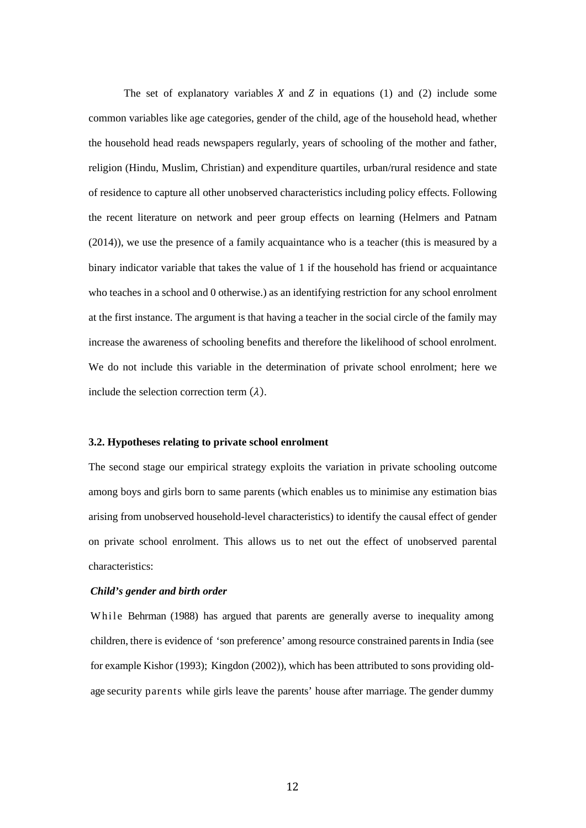The set of explanatory variables  $X$  and  $Z$  in equations (1) and (2) include some common variables like age categories, gender of the child, age of the household head, whether the household head reads newspapers regularly, years of schooling of the mother and father, religion (Hindu, Muslim, Christian) and expenditure quartiles, urban/rural residence and state of residence to capture all other unobserved characteristics including policy effects. Following the recent literature on network and peer group effects on learning (Helmers and Patnam (2014)), we use the presence of a family acquaintance who is a teacher (this is measured by a binary indicator variable that takes the value of 1 if the household has friend or acquaintance who teaches in a school and 0 otherwise.) as an identifying restriction for any school enrolment at the first instance. The argument is that having a teacher in the social circle of the family may increase the awareness of schooling benefits and therefore the likelihood of school enrolment. We do not include this variable in the determination of private school enrolment; here we include the selection correction term  $(\lambda)$ .

#### **3.2. Hypotheses relating to private school enrolment**

The second stage our empirical strategy exploits the variation in private schooling outcome among boys and girls born to same parents (which enables us to minimise any estimation bias arising from unobserved household-level characteristics) to identify the causal effect of gender on private school enrolment. This allows us to net out the effect of unobserved parental characteristics:

#### *Child's gender and birth order*

While Behrman (1988) has argued that parents are generally averse to inequality among children, there is evidence of 'son preference' among resource constrained parents in India (see for example Kishor (1993); Kingdon (2002)), which has been attributed to sons providing oldage security parents while girls leave the parents' house after marriage. The gender dummy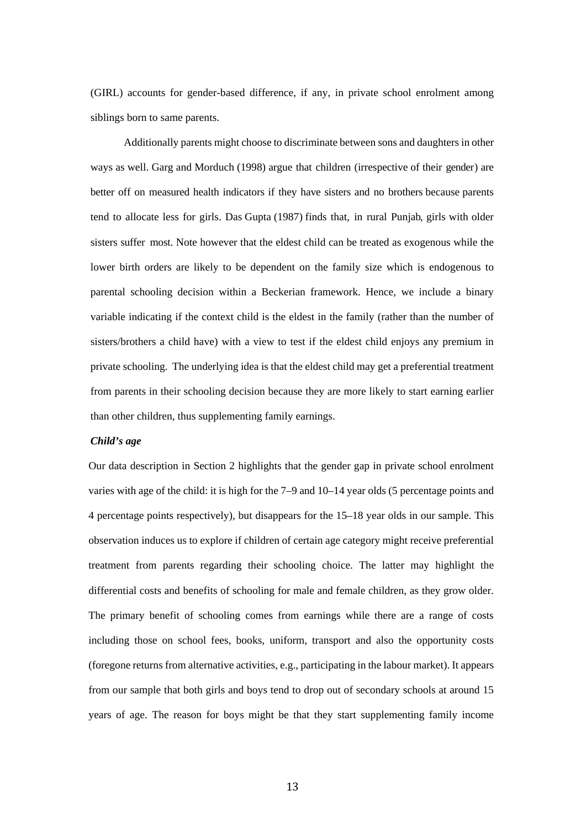(GIRL) accounts for gender-based difference, if any, in private school enrolment among siblings born to same parents.

Additionally parents might choose to discriminate between sons and daughters in other ways as well. Garg and Morduch (1998) argue that children (irrespective of their gender) are better off on measured health indicators if they have sisters and no brothers because parents tend to allocate less for girls. Das Gupta (1987) finds that, in rural Punjab, girls with older sisters suffer most. Note however that the eldest child can be treated as exogenous while the lower birth orders are likely to be dependent on the family size which is endogenous to parental schooling decision within a Beckerian framework. Hence, we include a binary variable indicating if the context child is the eldest in the family (rather than the number of sisters/brothers a child have) with a view to test if the eldest child enjoys any premium in private schooling. The underlying idea is that the eldest child may get a preferential treatment from parents in their schooling decision because they are more likely to start earning earlier than other children, thus supplementing family earnings.

#### *Child's age*

Our data description in Section 2 highlights that the gender gap in private school enrolment varies with age of the child: it is high for the 7–9 and 10–14 year olds (5 percentage points and 4 percentage points respectively), but disappears for the 15–18 year olds in our sample. This observation induces us to explore if children of certain age category might receive preferential treatment from parents regarding their schooling choice. The latter may highlight the differential costs and benefits of schooling for male and female children, as they grow older. The primary benefit of schooling comes from earnings while there are a range of costs including those on school fees, books, uniform, transport and also the opportunity costs (foregone returns from alternative activities, e.g., participating in the labour market). It appears from our sample that both girls and boys tend to drop out of secondary schools at around 15 years of age. The reason for boys might be that they start supplementing family income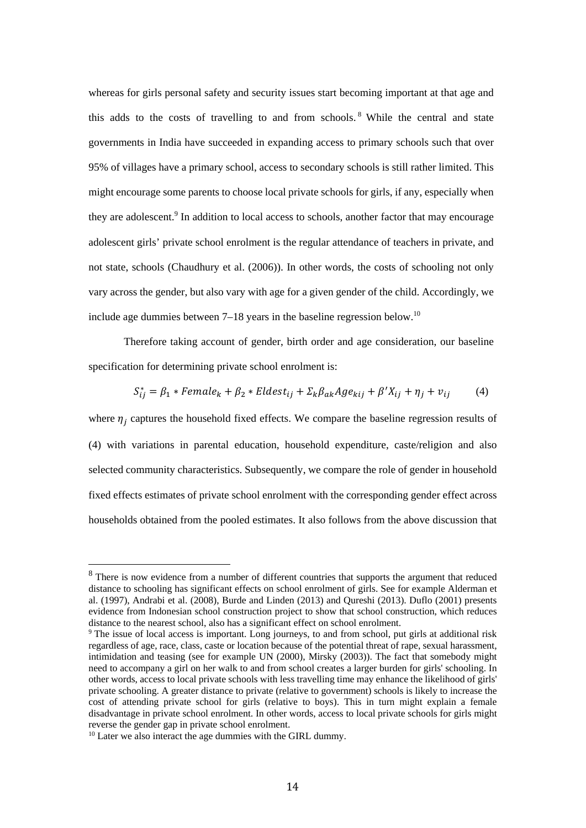whereas for girls personal safety and security issues start becoming important at that age and this adds to the costs of travelling to and from schools. 8 While the central and state governments in India have succeeded in expanding access to primary schools such that over 95% of villages have a primary school, access to secondary schools is still rather limited. This might encourage some parents to choose local private schools for girls, if any, especially when they are adolescent.<sup>9</sup> In addition to local access to schools, another factor that may encourage adolescent girls' private school enrolment is the regular attendance of teachers in private, and not state, schools (Chaudhury et al. (2006)). In other words, the costs of schooling not only vary across the gender, but also vary with age for a given gender of the child. Accordingly, we include age dummies between  $7-18$  years in the baseline regression below.<sup>10</sup>

Therefore taking account of gender, birth order and age consideration, our baseline specification for determining private school enrolment is:

$$
S_{ij}^* = \beta_1 * Female_k + \beta_2 * Eldest_{ij} + \sum_k \beta_{ak} Age_{kij} + \beta' X_{ij} + \eta_j + v_{ij}
$$
(4)

where  $\eta_i$  captures the household fixed effects. We compare the baseline regression results of (4) with variations in parental education, household expenditure, caste/religion and also selected community characteristics. Subsequently, we compare the role of gender in household fixed effects estimates of private school enrolment with the corresponding gender effect across households obtained from the pooled estimates. It also follows from the above discussion that

<sup>&</sup>lt;sup>8</sup> There is now evidence from a number of different countries that supports the argument that reduced distance to schooling has significant effects on school enrolment of girls. See for example Alderman et al. (1997), Andrabi et al. (2008), Burde and Linden (2013) and Qureshi (2013). Duflo (2001) presents evidence from Indonesian school construction project to show that school construction, which reduces distance to the nearest school, also has a significant effect on school enrolment.

<sup>&</sup>lt;sup>9</sup> The issue of local access is important. Long journeys, to and from school, put girls at additional risk regardless of age, race, class, caste or location because of the potential threat of rape, sexual harassment, intimidation and teasing (see for example UN (2000), Mirsky (2003)). The fact that somebody might need to accompany a girl on her walk to and from school creates a larger burden for girls' schooling. In other words, access to local private schools with less travelling time may enhance the likelihood of girls' private schooling. A greater distance to private (relative to government) schools is likely to increase the cost of attending private school for girls (relative to boys). This in turn might explain a female disadvantage in private school enrolment. In other words, access to local private schools for girls might reverse the gender gap in private school enrolment.

<sup>&</sup>lt;sup>10</sup> Later we also interact the age dummies with the GIRL dummy.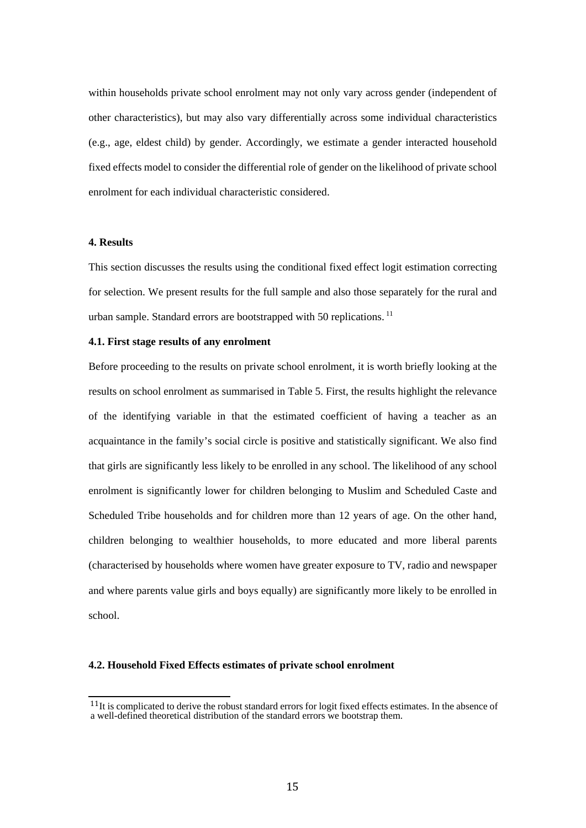within households private school enrolment may not only vary across gender (independent of other characteristics), but may also vary differentially across some individual characteristics (e.g., age, eldest child) by gender. Accordingly, we estimate a gender interacted household fixed effects model to consider the differential role of gender on the likelihood of private school enrolment for each individual characteristic considered.

### **4. Results**

This section discusses the results using the conditional fixed effect logit estimation correcting for selection. We present results for the full sample and also those separately for the rural and urban sample. Standard errors are bootstrapped with 50 replications. 11

#### **4.1. First stage results of any enrolment**

Before proceeding to the results on private school enrolment, it is worth briefly looking at the results on school enrolment as summarised in Table 5. First, the results highlight the relevance of the identifying variable in that the estimated coefficient of having a teacher as an acquaintance in the family's social circle is positive and statistically significant. We also find that girls are significantly less likely to be enrolled in any school. The likelihood of any school enrolment is significantly lower for children belonging to Muslim and Scheduled Caste and Scheduled Tribe households and for children more than 12 years of age. On the other hand, children belonging to wealthier households, to more educated and more liberal parents (characterised by households where women have greater exposure to TV, radio and newspaper and where parents value girls and boys equally) are significantly more likely to be enrolled in school.

#### **4.2. Household Fixed Effects estimates of private school enrolment**

<sup>&</sup>lt;sup>11</sup>It is complicated to derive the robust standard errors for logit fixed effects estimates. In the absence of a well-defined theoretical distribution of the standard errors we bootstrap them.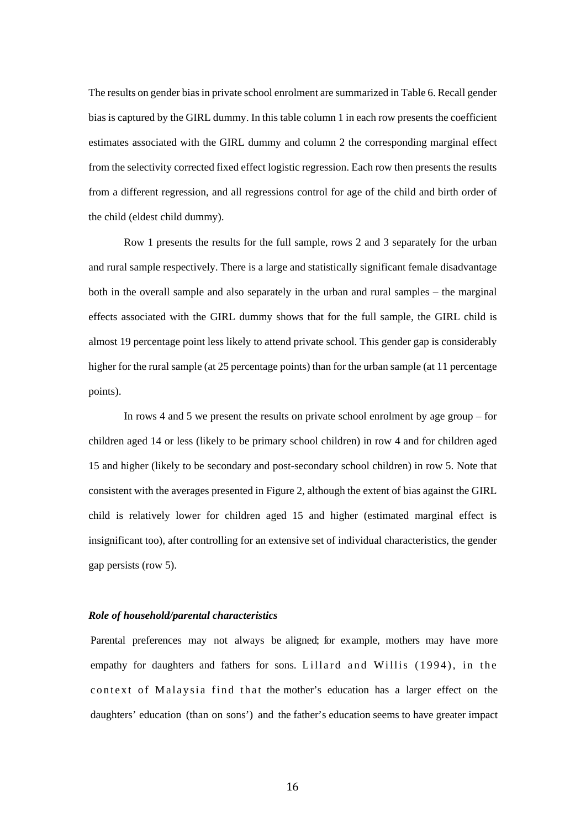The results on gender bias in private school enrolment are summarized in Table 6. Recall gender bias is captured by the GIRL dummy. In this table column 1 in each row presents the coefficient estimates associated with the GIRL dummy and column 2 the corresponding marginal effect from the selectivity corrected fixed effect logistic regression. Each row then presents the results from a different regression, and all regressions control for age of the child and birth order of the child (eldest child dummy).

Row 1 presents the results for the full sample, rows 2 and 3 separately for the urban and rural sample respectively. There is a large and statistically significant female disadvantage both in the overall sample and also separately in the urban and rural samples – the marginal effects associated with the GIRL dummy shows that for the full sample, the GIRL child is almost 19 percentage point less likely to attend private school. This gender gap is considerably higher for the rural sample (at 25 percentage points) than for the urban sample (at 11 percentage points).

In rows 4 and 5 we present the results on private school enrolment by age group – for children aged 14 or less (likely to be primary school children) in row 4 and for children aged 15 and higher (likely to be secondary and post-secondary school children) in row 5. Note that consistent with the averages presented in Figure 2, although the extent of bias against the GIRL child is relatively lower for children aged 15 and higher (estimated marginal effect is insignificant too), after controlling for an extensive set of individual characteristics, the gender gap persists (row 5).

#### *Role of household/parental characteristics*

Parental preferences may not always be aligned; for example, mothers may have more empathy for daughters and fathers for sons. Lillard and Willis (1994), in the context of Malaysia find that the mother's education has a larger effect on the daughters' education (than on sons') and the father's education seems to have greater impact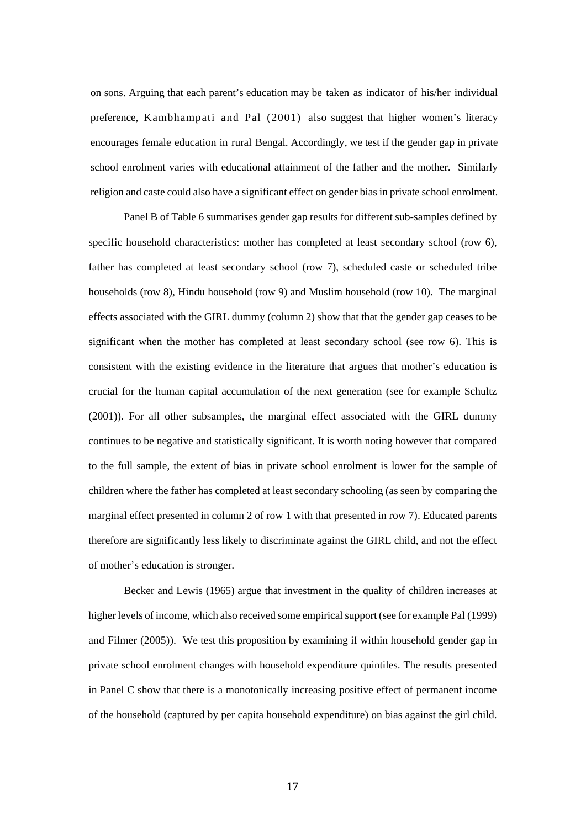on sons. Arguing that each parent's education may be taken as indicator of his/her individual preference, Kambhampati and Pal (2001) also suggest that higher women's literacy encourages female education in rural Bengal. Accordingly, we test if the gender gap in private school enrolment varies with educational attainment of the father and the mother. Similarly religion and caste could also have a significant effect on gender bias in private school enrolment.

Panel B of Table 6 summarises gender gap results for different sub-samples defined by specific household characteristics: mother has completed at least secondary school (row 6), father has completed at least secondary school (row 7), scheduled caste or scheduled tribe households (row 8), Hindu household (row 9) and Muslim household (row 10). The marginal effects associated with the GIRL dummy (column 2) show that that the gender gap ceases to be significant when the mother has completed at least secondary school (see row 6). This is consistent with the existing evidence in the literature that argues that mother's education is crucial for the human capital accumulation of the next generation (see for example Schultz (2001)). For all other subsamples, the marginal effect associated with the GIRL dummy continues to be negative and statistically significant. It is worth noting however that compared to the full sample, the extent of bias in private school enrolment is lower for the sample of children where the father has completed at least secondary schooling (as seen by comparing the marginal effect presented in column 2 of row 1 with that presented in row 7). Educated parents therefore are significantly less likely to discriminate against the GIRL child, and not the effect of mother's education is stronger.

Becker and Lewis (1965) argue that investment in the quality of children increases at higher levels of income, which also received some empirical support (see for example Pal (1999) and Filmer (2005)). We test this proposition by examining if within household gender gap in private school enrolment changes with household expenditure quintiles. The results presented in Panel C show that there is a monotonically increasing positive effect of permanent income of the household (captured by per capita household expenditure) on bias against the girl child.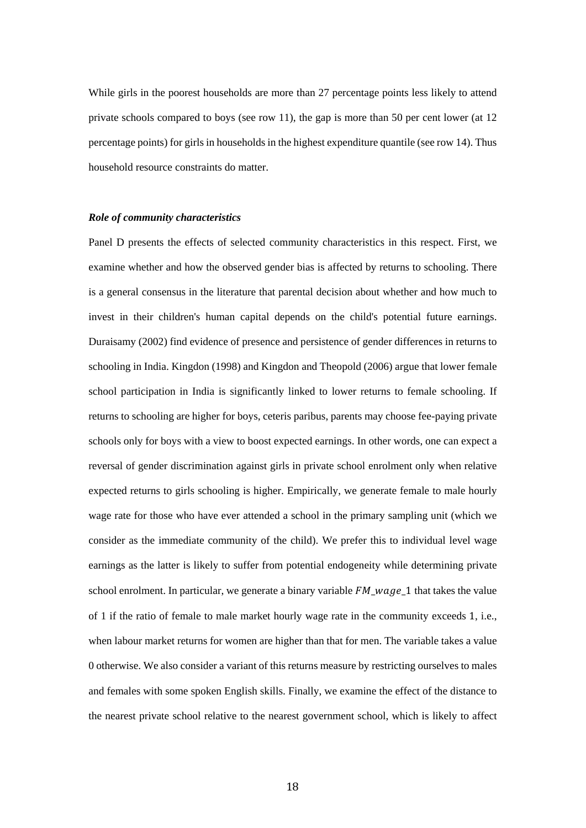While girls in the poorest households are more than 27 percentage points less likely to attend private schools compared to boys (see row 11), the gap is more than 50 per cent lower (at 12 percentage points) for girls in households in the highest expenditure quantile (see row 14). Thus household resource constraints do matter.

#### *Role of community characteristics*

Panel D presents the effects of selected community characteristics in this respect. First, we examine whether and how the observed gender bias is affected by returns to schooling. There is a general consensus in the literature that parental decision about whether and how much to invest in their children's human capital depends on the child's potential future earnings. Duraisamy (2002) find evidence of presence and persistence of gender differences in returns to schooling in India. Kingdon (1998) and Kingdon and Theopold (2006) argue that lower female school participation in India is significantly linked to lower returns to female schooling. If returns to schooling are higher for boys, ceteris paribus, parents may choose fee-paying private schools only for boys with a view to boost expected earnings. In other words, one can expect a reversal of gender discrimination against girls in private school enrolment only when relative expected returns to girls schooling is higher. Empirically, we generate female to male hourly wage rate for those who have ever attended a school in the primary sampling unit (which we consider as the immediate community of the child). We prefer this to individual level wage earnings as the latter is likely to suffer from potential endogeneity while determining private school enrolment. In particular, we generate a binary variable  $FM\_wage\_1$  that takes the value of 1 if the ratio of female to male market hourly wage rate in the community exceeds 1, i.e., when labour market returns for women are higher than that for men. The variable takes a value 0 otherwise. We also consider a variant of this returns measure by restricting ourselves to males and females with some spoken English skills. Finally, we examine the effect of the distance to the nearest private school relative to the nearest government school, which is likely to affect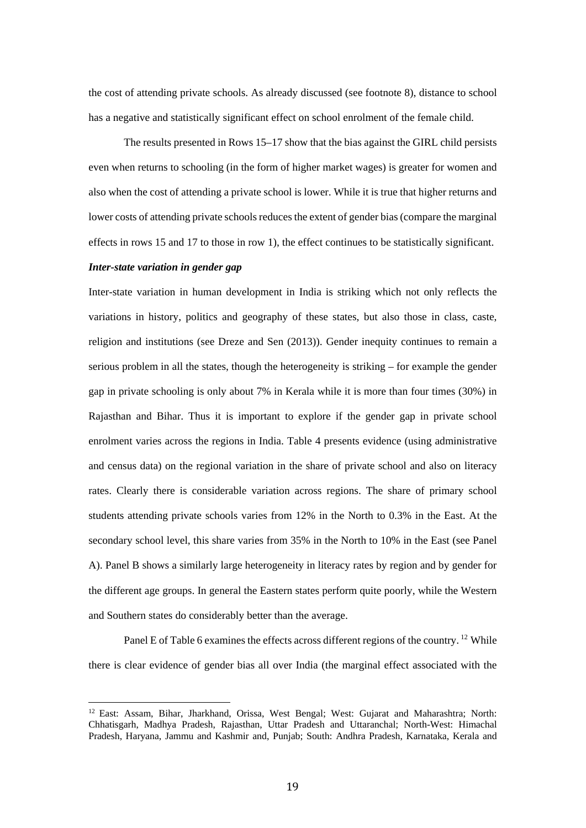the cost of attending private schools. As already discussed (see footnote 8), distance to school has a negative and statistically significant effect on school enrolment of the female child.

The results presented in Rows 15–17 show that the bias against the GIRL child persists even when returns to schooling (in the form of higher market wages) is greater for women and also when the cost of attending a private school is lower. While it is true that higher returns and lower costs of attending private schools reduces the extent of gender bias (compare the marginal effects in rows 15 and 17 to those in row 1), the effect continues to be statistically significant.

#### *Inter-state variation in gender gap*

 

Inter-state variation in human development in India is striking which not only reflects the variations in history, politics and geography of these states, but also those in class, caste, religion and institutions (see Dreze and Sen (2013)). Gender inequity continues to remain a serious problem in all the states, though the heterogeneity is striking – for example the gender gap in private schooling is only about 7% in Kerala while it is more than four times (30%) in Rajasthan and Bihar. Thus it is important to explore if the gender gap in private school enrolment varies across the regions in India. Table 4 presents evidence (using administrative and census data) on the regional variation in the share of private school and also on literacy rates. Clearly there is considerable variation across regions. The share of primary school students attending private schools varies from 12% in the North to 0.3% in the East. At the secondary school level, this share varies from 35% in the North to 10% in the East (see Panel A). Panel B shows a similarly large heterogeneity in literacy rates by region and by gender for the different age groups. In general the Eastern states perform quite poorly, while the Western and Southern states do considerably better than the average.

Panel E of Table 6 examines the effects across different regions of the country. <sup>12</sup> While there is clear evidence of gender bias all over India (the marginal effect associated with the

<sup>&</sup>lt;sup>12</sup> East: Assam, Bihar, Jharkhand, Orissa, West Bengal; West: Gujarat and Maharashtra; North: Chhatisgarh, Madhya Pradesh, Rajasthan, Uttar Pradesh and Uttaranchal; North-West: Himachal Pradesh, Haryana, Jammu and Kashmir and, Punjab; South: Andhra Pradesh, Karnataka, Kerala and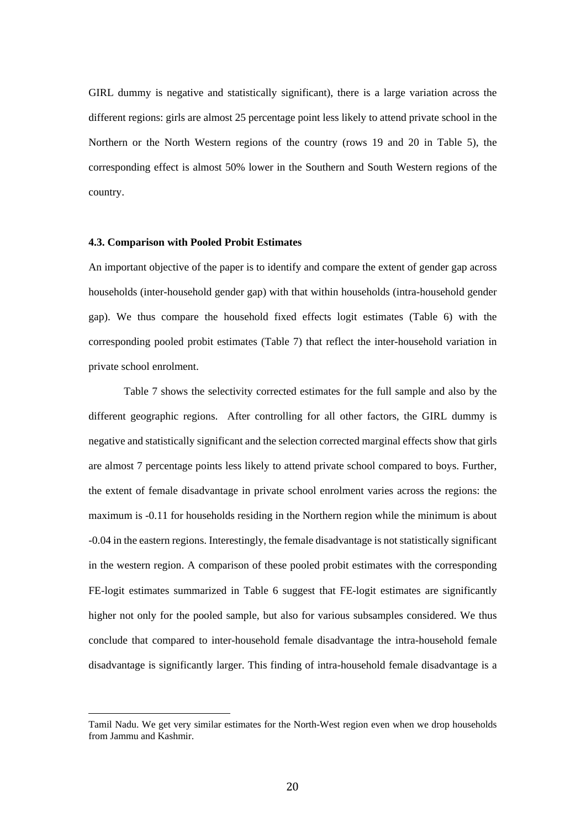GIRL dummy is negative and statistically significant), there is a large variation across the different regions: girls are almost 25 percentage point less likely to attend private school in the Northern or the North Western regions of the country (rows 19 and 20 in Table 5), the corresponding effect is almost 50% lower in the Southern and South Western regions of the country.

#### **4.3. Comparison with Pooled Probit Estimates**

 

An important objective of the paper is to identify and compare the extent of gender gap across households (inter-household gender gap) with that within households (intra-household gender gap). We thus compare the household fixed effects logit estimates (Table 6) with the corresponding pooled probit estimates (Table 7) that reflect the inter-household variation in private school enrolment.

Table 7 shows the selectivity corrected estimates for the full sample and also by the different geographic regions. After controlling for all other factors, the GIRL dummy is negative and statistically significant and the selection corrected marginal effects show that girls are almost 7 percentage points less likely to attend private school compared to boys. Further, the extent of female disadvantage in private school enrolment varies across the regions: the maximum is -0.11 for households residing in the Northern region while the minimum is about -0.04 in the eastern regions. Interestingly, the female disadvantage is not statistically significant in the western region. A comparison of these pooled probit estimates with the corresponding FE-logit estimates summarized in Table 6 suggest that FE-logit estimates are significantly higher not only for the pooled sample, but also for various subsamples considered. We thus conclude that compared to inter-household female disadvantage the intra-household female disadvantage is significantly larger. This finding of intra-household female disadvantage is a

Tamil Nadu. We get very similar estimates for the North-West region even when we drop households from Jammu and Kashmir.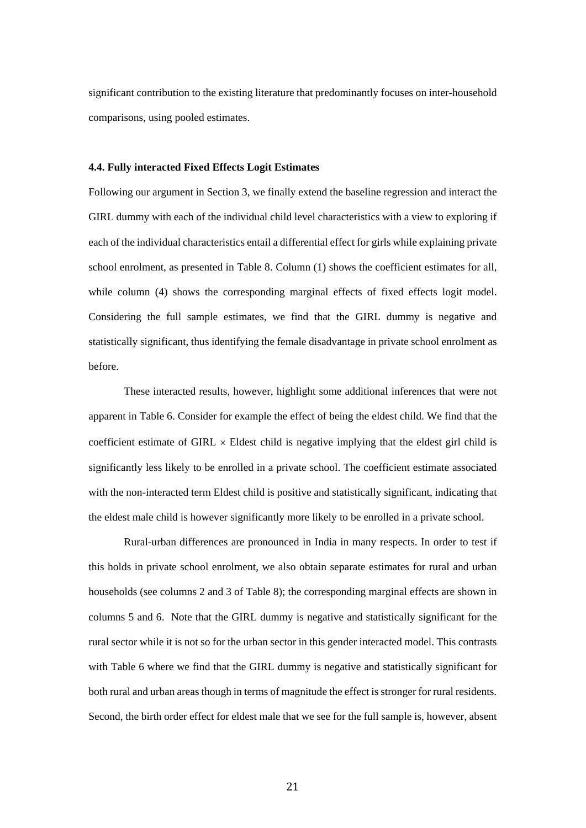significant contribution to the existing literature that predominantly focuses on inter-household comparisons, using pooled estimates.

#### **4.4. Fully interacted Fixed Effects Logit Estimates**

Following our argument in Section 3, we finally extend the baseline regression and interact the GIRL dummy with each of the individual child level characteristics with a view to exploring if each of the individual characteristics entail a differential effect for girls while explaining private school enrolment, as presented in Table 8. Column (1) shows the coefficient estimates for all, while column (4) shows the corresponding marginal effects of fixed effects logit model. Considering the full sample estimates, we find that the GIRL dummy is negative and statistically significant, thus identifying the female disadvantage in private school enrolment as before.

These interacted results, however, highlight some additional inferences that were not apparent in Table 6. Consider for example the effect of being the eldest child. We find that the coefficient estimate of GIRL  $\times$  Eldest child is negative implying that the eldest girl child is significantly less likely to be enrolled in a private school. The coefficient estimate associated with the non-interacted term Eldest child is positive and statistically significant, indicating that the eldest male child is however significantly more likely to be enrolled in a private school.

 Rural-urban differences are pronounced in India in many respects. In order to test if this holds in private school enrolment, we also obtain separate estimates for rural and urban households (see columns 2 and 3 of Table 8); the corresponding marginal effects are shown in columns 5 and 6. Note that the GIRL dummy is negative and statistically significant for the rural sector while it is not so for the urban sector in this gender interacted model. This contrasts with Table 6 where we find that the GIRL dummy is negative and statistically significant for both rural and urban areas though in terms of magnitude the effect is stronger for rural residents. Second, the birth order effect for eldest male that we see for the full sample is, however, absent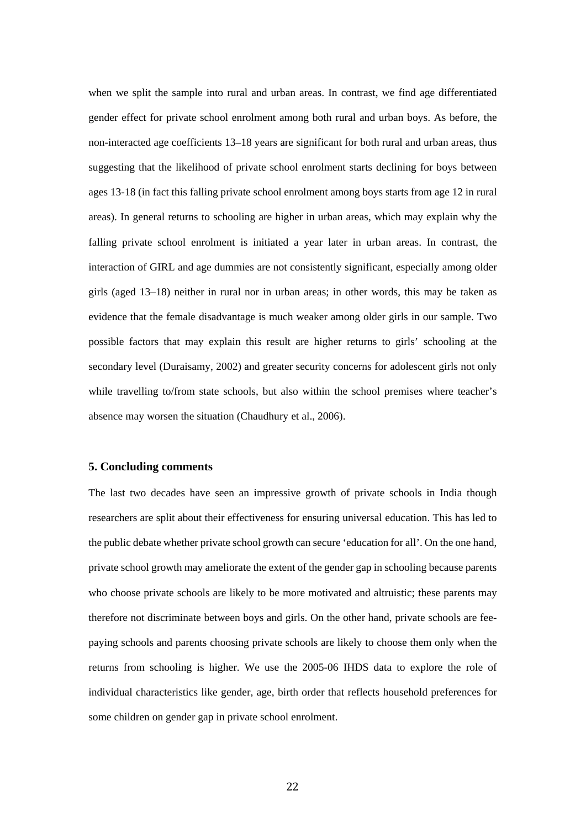when we split the sample into rural and urban areas. In contrast, we find age differentiated gender effect for private school enrolment among both rural and urban boys. As before, the non-interacted age coefficients 13–18 years are significant for both rural and urban areas, thus suggesting that the likelihood of private school enrolment starts declining for boys between ages 13-18 (in fact this falling private school enrolment among boys starts from age 12 in rural areas). In general returns to schooling are higher in urban areas, which may explain why the falling private school enrolment is initiated a year later in urban areas. In contrast, the interaction of GIRL and age dummies are not consistently significant, especially among older girls (aged 13–18) neither in rural nor in urban areas; in other words, this may be taken as evidence that the female disadvantage is much weaker among older girls in our sample. Two possible factors that may explain this result are higher returns to girls' schooling at the secondary level (Duraisamy, 2002) and greater security concerns for adolescent girls not only while travelling to/from state schools, but also within the school premises where teacher's absence may worsen the situation (Chaudhury et al., 2006).

#### **5. Concluding comments**

The last two decades have seen an impressive growth of private schools in India though researchers are split about their effectiveness for ensuring universal education. This has led to the public debate whether private school growth can secure 'education for all'. On the one hand, private school growth may ameliorate the extent of the gender gap in schooling because parents who choose private schools are likely to be more motivated and altruistic; these parents may therefore not discriminate between boys and girls. On the other hand, private schools are feepaying schools and parents choosing private schools are likely to choose them only when the returns from schooling is higher. We use the 2005-06 IHDS data to explore the role of individual characteristics like gender, age, birth order that reflects household preferences for some children on gender gap in private school enrolment.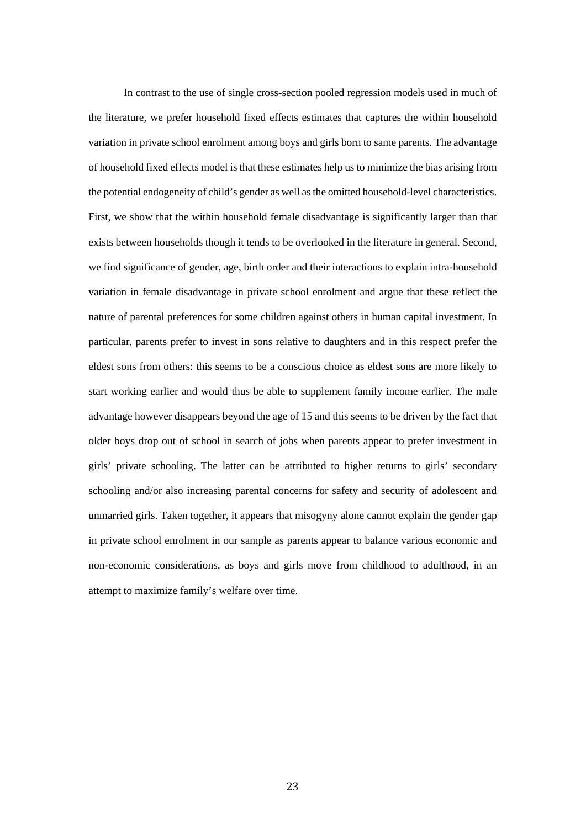In contrast to the use of single cross-section pooled regression models used in much of the literature, we prefer household fixed effects estimates that captures the within household variation in private school enrolment among boys and girls born to same parents. The advantage of household fixed effects model is that these estimates help us to minimize the bias arising from the potential endogeneity of child's gender as well as the omitted household-level characteristics. First, we show that the within household female disadvantage is significantly larger than that exists between households though it tends to be overlooked in the literature in general. Second, we find significance of gender, age, birth order and their interactions to explain intra-household variation in female disadvantage in private school enrolment and argue that these reflect the nature of parental preferences for some children against others in human capital investment. In particular, parents prefer to invest in sons relative to daughters and in this respect prefer the eldest sons from others: this seems to be a conscious choice as eldest sons are more likely to start working earlier and would thus be able to supplement family income earlier. The male advantage however disappears beyond the age of 15 and this seems to be driven by the fact that older boys drop out of school in search of jobs when parents appear to prefer investment in girls' private schooling. The latter can be attributed to higher returns to girls' secondary schooling and/or also increasing parental concerns for safety and security of adolescent and unmarried girls. Taken together, it appears that misogyny alone cannot explain the gender gap in private school enrolment in our sample as parents appear to balance various economic and non-economic considerations, as boys and girls move from childhood to adulthood, in an attempt to maximize family's welfare over time.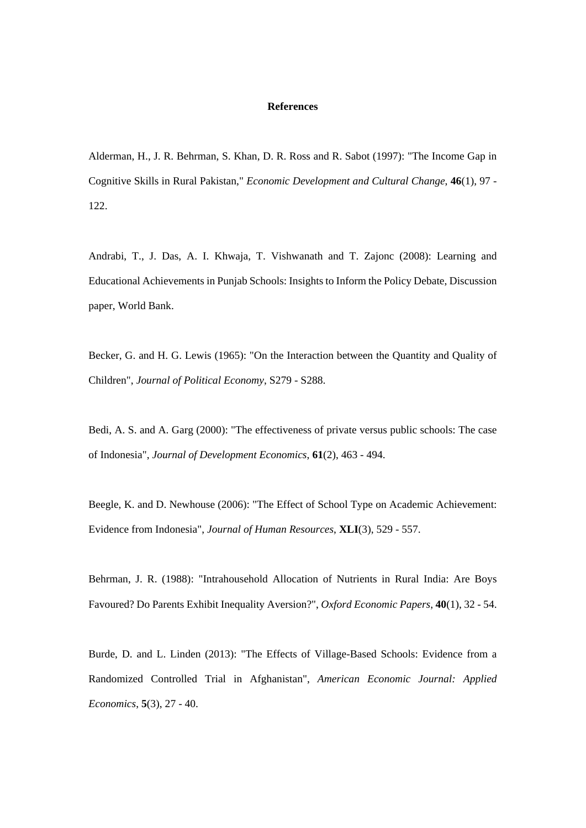#### **References**

Alderman, H., J. R. Behrman, S. Khan, D. R. Ross and R. Sabot (1997): "The Income Gap in Cognitive Skills in Rural Pakistan," *Economic Development and Cultural Change*, **46**(1), 97 - 122.

Andrabi, T., J. Das, A. I. Khwaja, T. Vishwanath and T. Zajonc (2008): Learning and Educational Achievements in Punjab Schools: Insights to Inform the Policy Debate, Discussion paper, World Bank.

Becker, G. and H. G. Lewis (1965): "On the Interaction between the Quantity and Quality of Children", *Journal of Political Economy*, S279 - S288.

Bedi, A. S. and A. Garg (2000): "The effectiveness of private versus public schools: The case of Indonesia", *Journal of Development Economics*, **61**(2), 463 - 494.

Beegle, K. and D. Newhouse (2006): "The Effect of School Type on Academic Achievement: Evidence from Indonesia", *Journal of Human Resources*, **XLI**(3), 529 - 557.

Behrman, J. R. (1988): "Intrahousehold Allocation of Nutrients in Rural India: Are Boys Favoured? Do Parents Exhibit Inequality Aversion?", *Oxford Economic Papers*, **40**(1), 32 - 54.

Burde, D. and L. Linden (2013): "The Effects of Village-Based Schools: Evidence from a Randomized Controlled Trial in Afghanistan", *American Economic Journal: Applied Economics*, **5**(3), 27 - 40.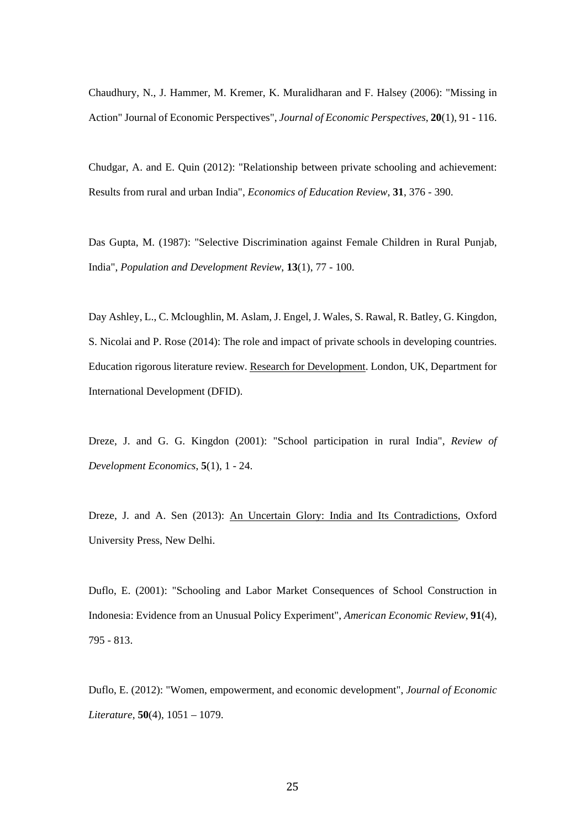Chaudhury, N., J. Hammer, M. Kremer, K. Muralidharan and F. Halsey (2006): "Missing in Action" Journal of Economic Perspectives", *Journal of Economic Perspectives*, **20**(1), 91 - 116.

Chudgar, A. and E. Quin (2012): "Relationship between private schooling and achievement: Results from rural and urban India", *Economics of Education Review*, **31**, 376 - 390.

Das Gupta, M. (1987): "Selective Discrimination against Female Children in Rural Punjab, India", *Population and Development Review*, **13**(1), 77 - 100.

Day Ashley, L., C. Mcloughlin, M. Aslam, J. Engel, J. Wales, S. Rawal, R. Batley, G. Kingdon, S. Nicolai and P. Rose (2014): The role and impact of private schools in developing countries. Education rigorous literature review. Research for Development. London, UK, Department for International Development (DFID).

Dreze, J. and G. G. Kingdon (2001): "School participation in rural India", *Review of Development Economics*, **5**(1), 1 - 24.

Dreze, J. and A. Sen (2013): An Uncertain Glory: India and Its Contradictions, Oxford University Press, New Delhi.

Duflo, E. (2001): "Schooling and Labor Market Consequences of School Construction in Indonesia: Evidence from an Unusual Policy Experiment", *American Economic Review*, **91**(4), 795 - 813.

Duflo, E. (2012): "Women, empowerment, and economic development", *Journal of Economic Literature*, **50**(4), 1051 – 1079.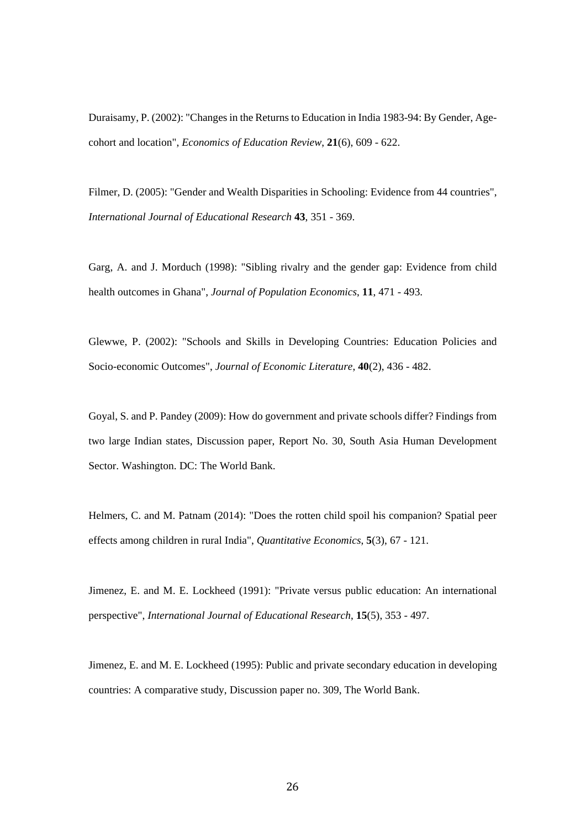Duraisamy, P. (2002): "Changes in the Returns to Education in India 1983-94: By Gender, Agecohort and location", *Economics of Education Review*, **21**(6), 609 - 622.

Filmer, D. (2005): "Gender and Wealth Disparities in Schooling: Evidence from 44 countries", *International Journal of Educational Research* **43**, 351 - 369.

Garg, A. and J. Morduch (1998): "Sibling rivalry and the gender gap: Evidence from child health outcomes in Ghana", *Journal of Population Economics*, **11**, 471 - 493.

Glewwe, P. (2002): "Schools and Skills in Developing Countries: Education Policies and Socio-economic Outcomes", *Journal of Economic Literature*, **40**(2), 436 - 482.

Goyal, S. and P. Pandey (2009): How do government and private schools differ? Findings from two large Indian states, Discussion paper, Report No. 30, South Asia Human Development Sector. Washington. DC: The World Bank.

Helmers, C. and M. Patnam (2014): "Does the rotten child spoil his companion? Spatial peer effects among children in rural India", *Quantitative Economics*, **5**(3), 67 - 121.

Jimenez, E. and M. E. Lockheed (1991): "Private versus public education: An international perspective", *International Journal of Educational Research*, **15**(5), 353 - 497.

Jimenez, E. and M. E. Lockheed (1995): Public and private secondary education in developing countries: A comparative study, Discussion paper no. 309, The World Bank.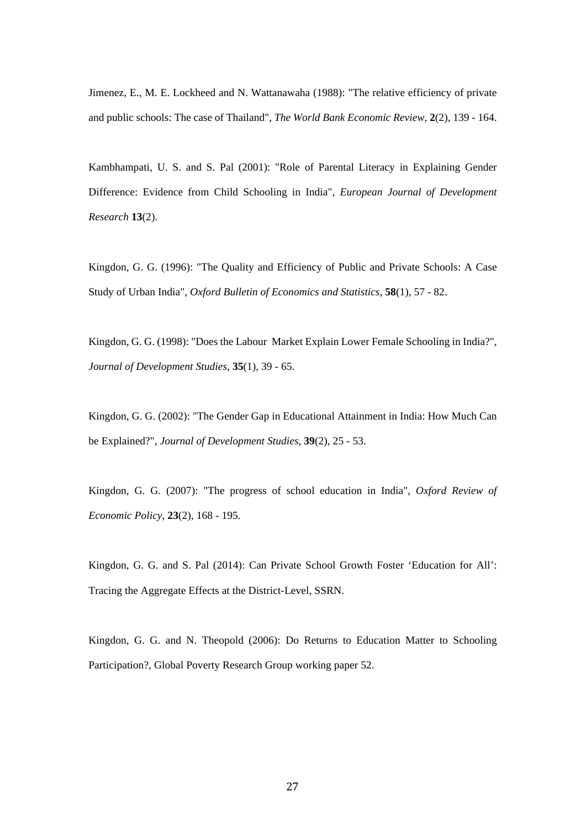Jimenez, E., M. E. Lockheed and N. Wattanawaha (1988): "The relative efficiency of private and public schools: The case of Thailand", *The World Bank Economic Review*, **2**(2), 139 - 164.

Kambhampati, U. S. and S. Pal (2001): "Role of Parental Literacy in Explaining Gender Difference: Evidence from Child Schooling in India", *European Journal of Development Research* **13**(2).

Kingdon, G. G. (1996): "The Quality and Efficiency of Public and Private Schools: A Case Study of Urban India", *Oxford Bulletin of Economics and Statistics*, **58**(1), 57 - 82.

Kingdon, G. G. (1998): "Does the Labour Market Explain Lower Female Schooling in India?", *Journal of Development Studies*, **35**(1), 39 - 65.

Kingdon, G. G. (2002): "The Gender Gap in Educational Attainment in India: How Much Can be Explained?", *Journal of Development Studies*, **39**(2), 25 - 53.

Kingdon, G. G. (2007): "The progress of school education in India", *Oxford Review of Economic Policy*, **23**(2), 168 - 195.

Kingdon, G. G. and S. Pal (2014): Can Private School Growth Foster 'Education for All': Tracing the Aggregate Effects at the District-Level, SSRN.

Kingdon, G. G. and N. Theopold (2006): Do Returns to Education Matter to Schooling Participation?, Global Poverty Research Group working paper 52.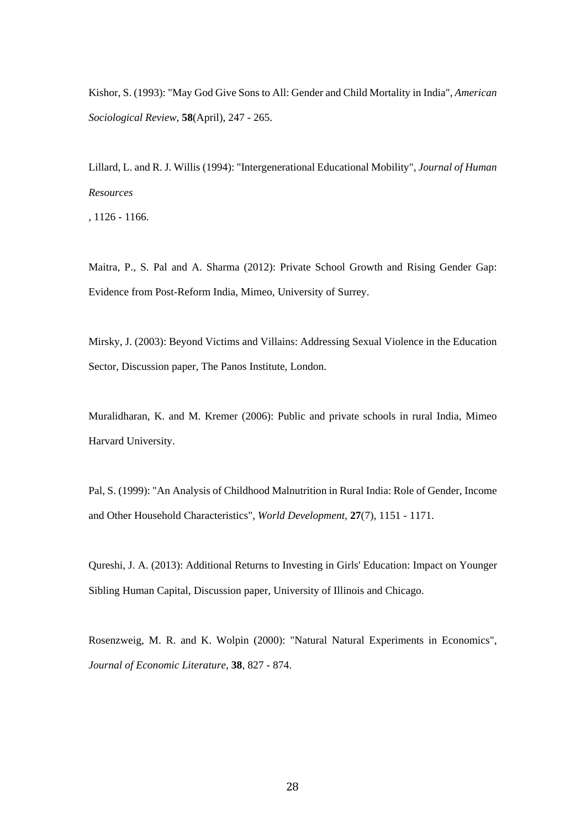Kishor, S. (1993): "May God Give Sons to All: Gender and Child Mortality in India", *American Sociological Review*, **58**(April), 247 - 265.

Lillard, L. and R. J. Willis (1994): "Intergenerational Educational Mobility", *Journal of Human Resources* 

, 1126 - 1166.

Maitra, P., S. Pal and A. Sharma (2012): Private School Growth and Rising Gender Gap: Evidence from Post-Reform India, Mimeo, University of Surrey.

Mirsky, J. (2003): Beyond Victims and Villains: Addressing Sexual Violence in the Education Sector, Discussion paper, The Panos Institute, London.

Muralidharan, K. and M. Kremer (2006): Public and private schools in rural India, Mimeo Harvard University.

Pal, S. (1999): "An Analysis of Childhood Malnutrition in Rural India: Role of Gender, Income and Other Household Characteristics", *World Development*, **27**(7), 1151 - 1171.

Qureshi, J. A. (2013): Additional Returns to Investing in Girls' Education: Impact on Younger Sibling Human Capital, Discussion paper, University of Illinois and Chicago.

Rosenzweig, M. R. and K. Wolpin (2000): "Natural Natural Experiments in Economics", *Journal of Economic Literature*, **38**, 827 - 874.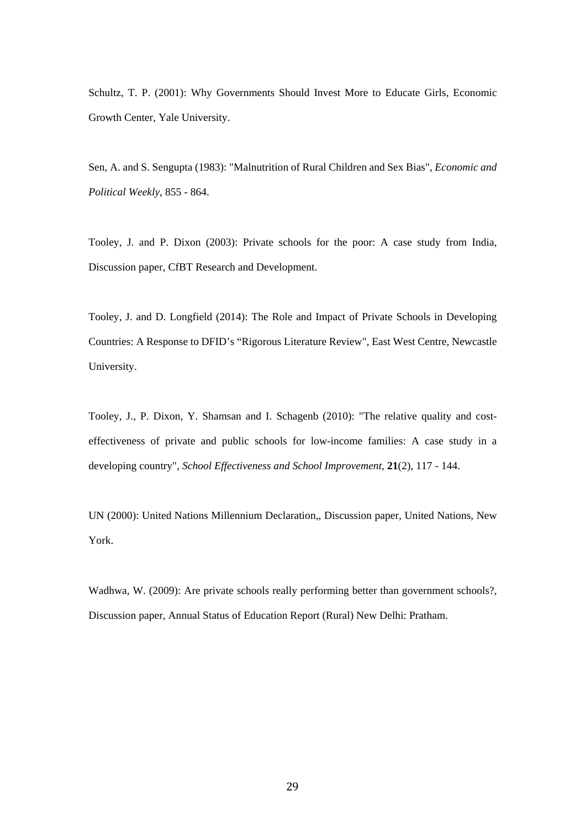Schultz, T. P. (2001): Why Governments Should Invest More to Educate Girls, Economic Growth Center, Yale University.

Sen, A. and S. Sengupta (1983): "Malnutrition of Rural Children and Sex Bias", *Economic and Political Weekly*, 855 - 864.

Tooley, J. and P. Dixon (2003): Private schools for the poor: A case study from India, Discussion paper, CfBT Research and Development.

Tooley, J. and D. Longfield (2014): The Role and Impact of Private Schools in Developing Countries: A Response to DFID's "Rigorous Literature Review", East West Centre, Newcastle University.

Tooley, J., P. Dixon, Y. Shamsan and I. Schagenb (2010): "The relative quality and costeffectiveness of private and public schools for low-income families: A case study in a developing country", *School Effectiveness and School Improvement*, **21**(2), 117 - 144.

UN (2000): United Nations Millennium Declaration,, Discussion paper, United Nations, New York.

Wadhwa, W. (2009): Are private schools really performing better than government schools?, Discussion paper, Annual Status of Education Report (Rural) New Delhi: Pratham.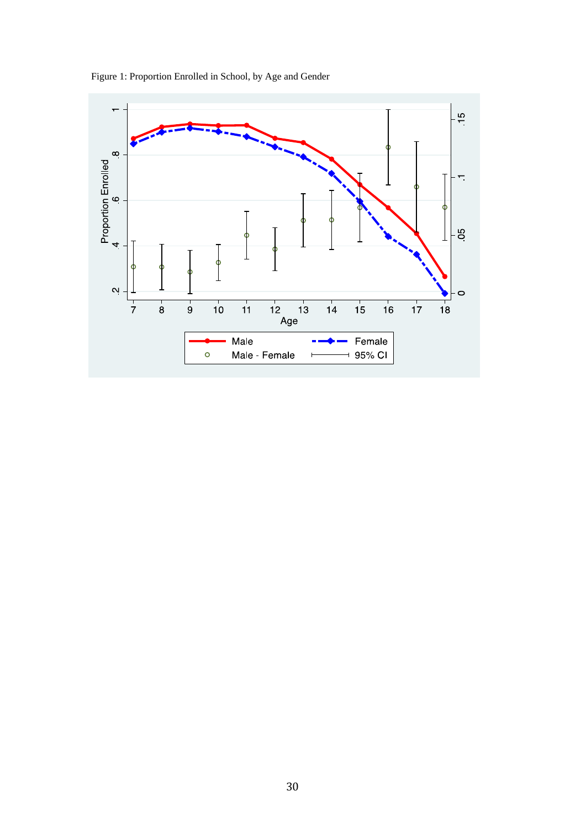

Figure 1: Proportion Enrolled in School, by Age and Gender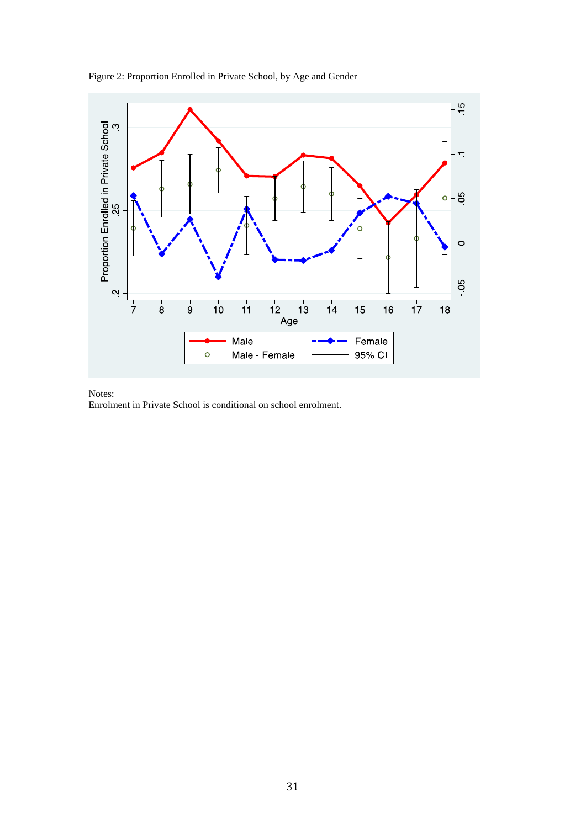



Notes:

Enrolment in Private School is conditional on school enrolment.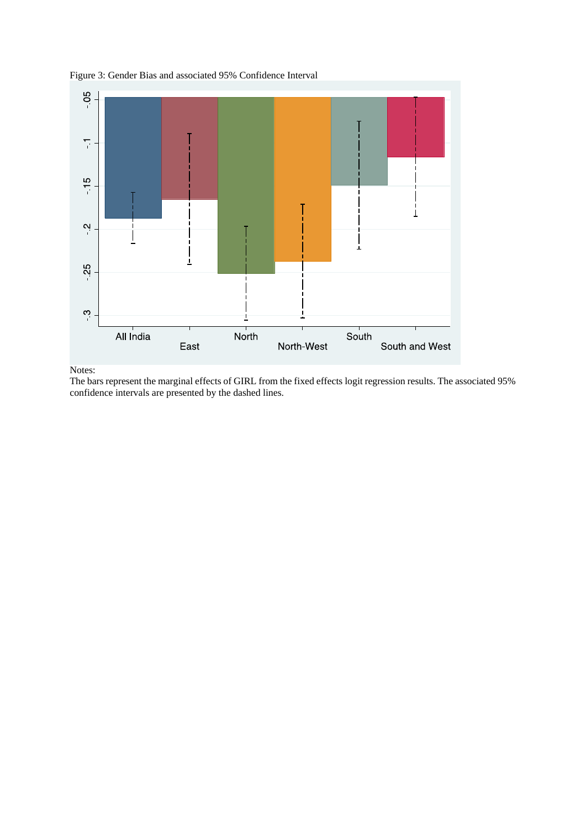

 $\mathbf{I}$ 

South and West

South

Figure 3: Gender Bias and associated 95% Confidence Interval

 $\overline{\mathsf{L}}$ 

East

- 25

 $\mathfrak{S}$ 

All India

Notes: The bars represent the marginal effects of GIRL from the fixed effects logit regression results. The associated 95%

North-West

North

## confidence intervals are presented by the dashed lines.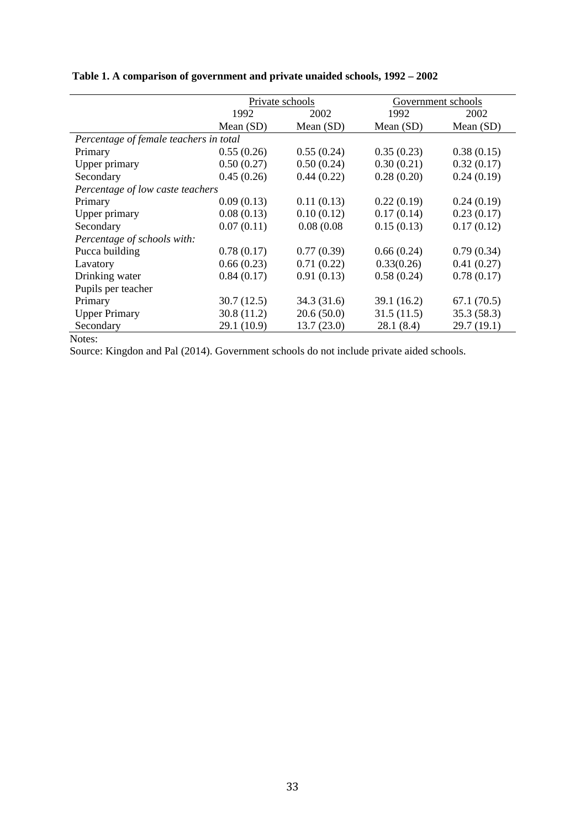|                                        |             | Private schools |             | Government schools |
|----------------------------------------|-------------|-----------------|-------------|--------------------|
|                                        | 1992        | 1992<br>2002    |             | 2002               |
|                                        | Mean (SD)   | Mean (SD)       | Mean $(SD)$ | Mean (SD)          |
| Percentage of female teachers in total |             |                 |             |                    |
| Primary                                | 0.55(0.26)  | 0.55(0.24)      | 0.35(0.23)  | 0.38(0.15)         |
| Upper primary                          | 0.50(0.27)  | 0.50(0.24)      | 0.30(0.21)  | 0.32(0.17)         |
| Secondary                              | 0.45(0.26)  | 0.44(0.22)      | 0.28(0.20)  | 0.24(0.19)         |
| Percentage of low caste teachers       |             |                 |             |                    |
| Primary                                | 0.09(0.13)  | 0.11(0.13)      | 0.22(0.19)  | 0.24(0.19)         |
| Upper primary                          | 0.08(0.13)  | 0.10(0.12)      | 0.17(0.14)  | 0.23(0.17)         |
| Secondary                              | 0.07(0.11)  | 0.08(0.08)      | 0.15(0.13)  | 0.17(0.12)         |
| Percentage of schools with:            |             |                 |             |                    |
| Pucca building                         | 0.78(0.17)  | 0.77(0.39)      | 0.66(0.24)  | 0.79(0.34)         |
| Lavatory                               | 0.66(0.23)  | 0.71(0.22)      | 0.33(0.26)  | 0.41(0.27)         |
| Drinking water                         | 0.84(0.17)  | 0.91(0.13)      | 0.58(0.24)  | 0.78(0.17)         |
| Pupils per teacher                     |             |                 |             |                    |
| Primary                                | 30.7(12.5)  | 34.3 (31.6)     | 39.1(16.2)  | 67.1(70.5)         |
| <b>Upper Primary</b>                   | 30.8(11.2)  | 20.6(50.0)      | 31.5(11.5)  | 35.3(58.3)         |
| Secondary                              | 29.1 (10.9) | 13.7(23.0)      | 28.1(8.4)   | 29.7(19.1)         |
| Notes:                                 |             |                 |             |                    |

## **Table 1. A comparison of government and private unaided schools, 1992 – 2002**

Source: Kingdon and Pal (2014). Government schools do not include private aided schools.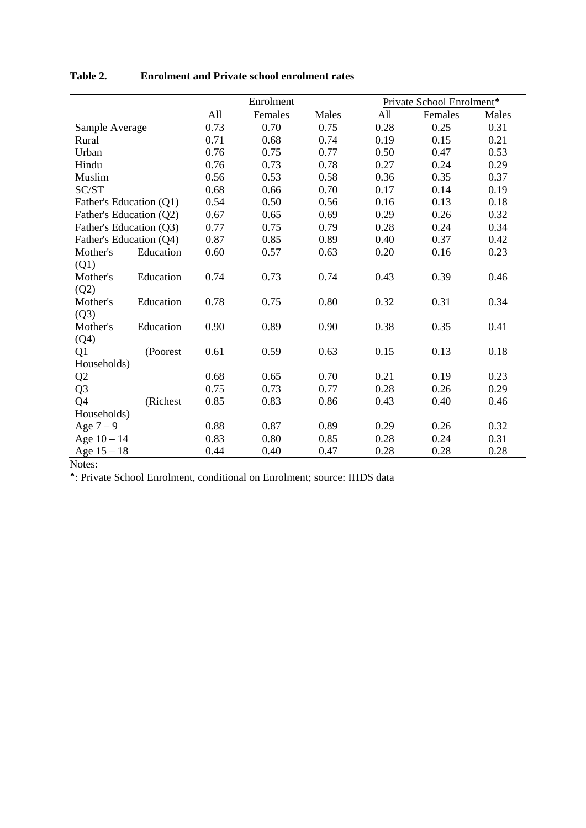|                         |           | Enrolment |         |       | Private School Enrolment <sup>*</sup> |         |       |
|-------------------------|-----------|-----------|---------|-------|---------------------------------------|---------|-------|
|                         |           | All       | Females | Males | All                                   | Females | Males |
| Sample Average          |           | 0.73      | 0.70    | 0.75  | 0.28                                  | 0.25    | 0.31  |
| Rural                   |           | 0.71      | 0.68    | 0.74  | 0.19                                  | 0.15    | 0.21  |
| Urban                   |           | 0.76      | 0.75    | 0.77  | 0.50                                  | 0.47    | 0.53  |
| Hindu                   |           | 0.76      | 0.73    | 0.78  | 0.27                                  | 0.24    | 0.29  |
| Muslim                  |           | 0.56      | 0.53    | 0.58  | 0.36                                  | 0.35    | 0.37  |
| SC/ST                   |           | 0.68      | 0.66    | 0.70  | 0.17                                  | 0.14    | 0.19  |
| Father's Education (Q1) |           | 0.54      | 0.50    | 0.56  | 0.16                                  | 0.13    | 0.18  |
| Father's Education (Q2) |           | 0.67      | 0.65    | 0.69  | 0.29                                  | 0.26    | 0.32  |
| Father's Education (Q3) |           | 0.77      | 0.75    | 0.79  | 0.28                                  | 0.24    | 0.34  |
| Father's Education (Q4) |           | 0.87      | 0.85    | 0.89  | 0.40                                  | 0.37    | 0.42  |
| Mother's                | Education | 0.60      | 0.57    | 0.63  | 0.20                                  | 0.16    | 0.23  |
| (Q1)                    |           |           |         |       |                                       |         |       |
| Mother's                | Education | 0.74      | 0.73    | 0.74  | 0.43                                  | 0.39    | 0.46  |
| (Q2)                    |           |           |         |       |                                       |         |       |
| Mother's                | Education | 0.78      | 0.75    | 0.80  | 0.32                                  | 0.31    | 0.34  |
| (Q3)                    |           |           |         |       |                                       |         |       |
| Mother's                | Education | 0.90      | 0.89    | 0.90  | 0.38                                  | 0.35    | 0.41  |
| (Q4)                    |           |           |         |       |                                       |         |       |
| Q1                      | (Poorest) | 0.61      | 0.59    | 0.63  | 0.15                                  | 0.13    | 0.18  |
| Households)             |           |           |         |       |                                       |         |       |
| Q2                      |           | 0.68      | 0.65    | 0.70  | 0.21                                  | 0.19    | 0.23  |
| Q <sub>3</sub>          |           | 0.75      | 0.73    | 0.77  | 0.28                                  | 0.26    | 0.29  |
| Q4                      | (Richest  | 0.85      | 0.83    | 0.86  | 0.43                                  | 0.40    | 0.46  |
| Households)             |           |           |         |       |                                       |         |       |
| Age $7-9$               |           | 0.88      | 0.87    | 0.89  | 0.29                                  | 0.26    | 0.32  |
| Age $10 - 14$           |           | 0.83      | 0.80    | 0.85  | 0.28                                  | 0.24    | 0.31  |
| Age $15 - 18$           |           | 0.44      | 0.40    | 0.47  | 0.28                                  | 0.28    | 0.28  |

### **Table 2. Enrolment and Private school enrolment rates**

Notes:

: Private School Enrolment, conditional on Enrolment; source: IHDS data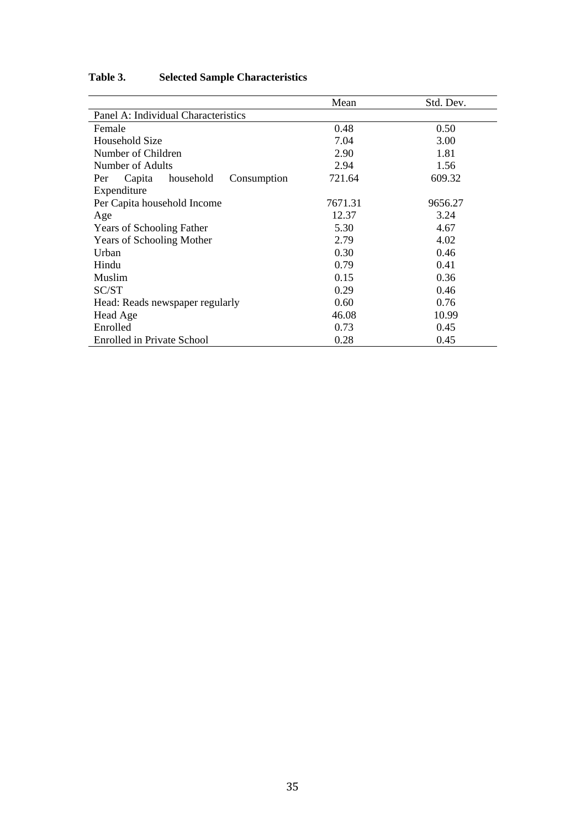|                                           | Mean    | Std. Dev. |  |  |  |  |  |  |
|-------------------------------------------|---------|-----------|--|--|--|--|--|--|
| Panel A: Individual Characteristics       |         |           |  |  |  |  |  |  |
| Female                                    | 0.48    | 0.50      |  |  |  |  |  |  |
| Household Size                            | 7.04    | 3.00      |  |  |  |  |  |  |
| Number of Children                        | 2.90    | 1.81      |  |  |  |  |  |  |
| Number of Adults                          | 2.94    | 1.56      |  |  |  |  |  |  |
| household<br>Consumption<br>Capita<br>Per | 721.64  | 609.32    |  |  |  |  |  |  |
| Expenditure                               |         |           |  |  |  |  |  |  |
| Per Capita household Income               | 7671.31 | 9656.27   |  |  |  |  |  |  |
| Age                                       | 12.37   | 3.24      |  |  |  |  |  |  |
| <b>Years of Schooling Father</b>          | 5.30    | 4.67      |  |  |  |  |  |  |
| <b>Years of Schooling Mother</b>          | 2.79    | 4.02      |  |  |  |  |  |  |
| Urban                                     | 0.30    | 0.46      |  |  |  |  |  |  |
| Hindu                                     | 0.79    | 0.41      |  |  |  |  |  |  |
| Muslim                                    | 0.15    | 0.36      |  |  |  |  |  |  |
| SC/ST                                     | 0.29    | 0.46      |  |  |  |  |  |  |
| Head: Reads newspaper regularly           | 0.60    | 0.76      |  |  |  |  |  |  |
| Head Age                                  | 46.08   | 10.99     |  |  |  |  |  |  |
| Enrolled                                  | 0.73    | 0.45      |  |  |  |  |  |  |
| <b>Enrolled in Private School</b>         | 0.28    | 0.45      |  |  |  |  |  |  |

## **Table 3. Selected Sample Characteristics**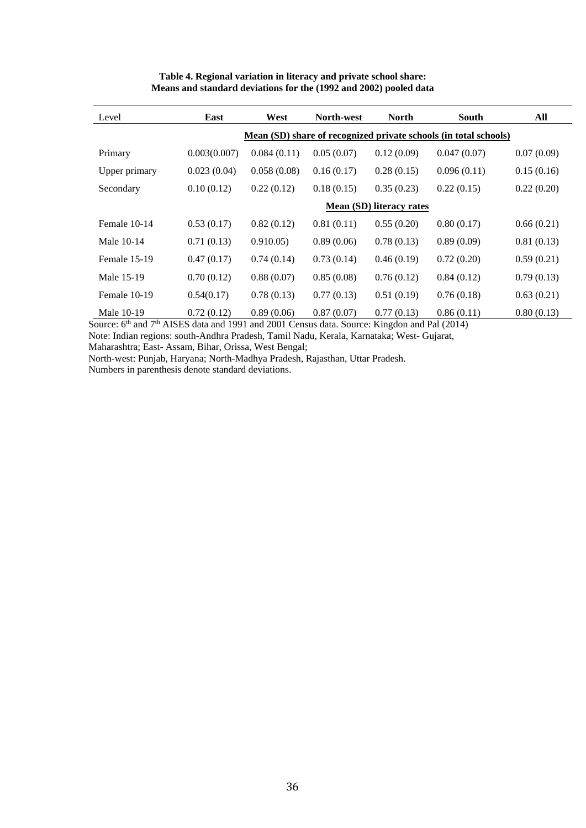| Level         | East                                                             | West        | North-west | <b>North</b> | <b>South</b> | All        |  |  |  |
|---------------|------------------------------------------------------------------|-------------|------------|--------------|--------------|------------|--|--|--|
|               | Mean (SD) share of recognized private schools (in total schools) |             |            |              |              |            |  |  |  |
| Primary       | 0.003(0.007)                                                     | 0.084(0.11) | 0.05(0.07) | 0.12(0.09)   | 0.047(0.07)  | 0.07(0.09) |  |  |  |
| Upper primary | 0.023(0.04)                                                      | 0.058(0.08) | 0.16(0.17) | 0.28(0.15)   | 0.096(0.11)  | 0.15(0.16) |  |  |  |
| Secondary     | 0.10(0.12)                                                       | 0.22(0.12)  | 0.18(0.15) | 0.35(0.23)   | 0.22(0.15)   | 0.22(0.20) |  |  |  |
|               | Mean (SD) literacy rates                                         |             |            |              |              |            |  |  |  |
| Female 10-14  | 0.53(0.17)                                                       | 0.82(0.12)  | 0.81(0.11) | 0.55(0.20)   | 0.80(0.17)   | 0.66(0.21) |  |  |  |
| Male 10-14    | 0.71(0.13)                                                       | 0.910.05)   | 0.89(0.06) | 0.78(0.13)   | 0.89(0.09)   | 0.81(0.13) |  |  |  |
| Female 15-19  | 0.47(0.17)                                                       | 0.74(0.14)  | 0.73(0.14) | 0.46(0.19)   | 0.72(0.20)   | 0.59(0.21) |  |  |  |
| Male 15-19    | 0.70(0.12)                                                       | 0.88(0.07)  | 0.85(0.08) | 0.76(0.12)   | 0.84(0.12)   | 0.79(0.13) |  |  |  |
| Female 10-19  | 0.54(0.17)                                                       | 0.78(0.13)  | 0.77(0.13) | 0.51(0.19)   | 0.76(0.18)   | 0.63(0.21) |  |  |  |
| Male 10-19    | 0.72(0.12)                                                       | 0.89(0.06)  | 0.87(0.07) | 0.77(0.13)   | 0.86(0.11)   | 0.80(0.13) |  |  |  |

### **Table 4. Regional variation in literacy and private school share: Means and standard deviations for the (1992 and 2002) pooled data**

Source:  $6<sup>th</sup>$  and  $7<sup>th</sup>$  AISES data and 1991 and 2001 Census data. Source: Kingdon and Pal (2014) Note: Indian regions: south-Andhra Pradesh, Tamil Nadu, Kerala, Karnataka; West- Gujarat,

Maharashtra; East- Assam, Bihar, Orissa, West Bengal;

North-west: Punjab, Haryana; North-Madhya Pradesh, Rajasthan, Uttar Pradesh.

Numbers in parenthesis denote standard deviations.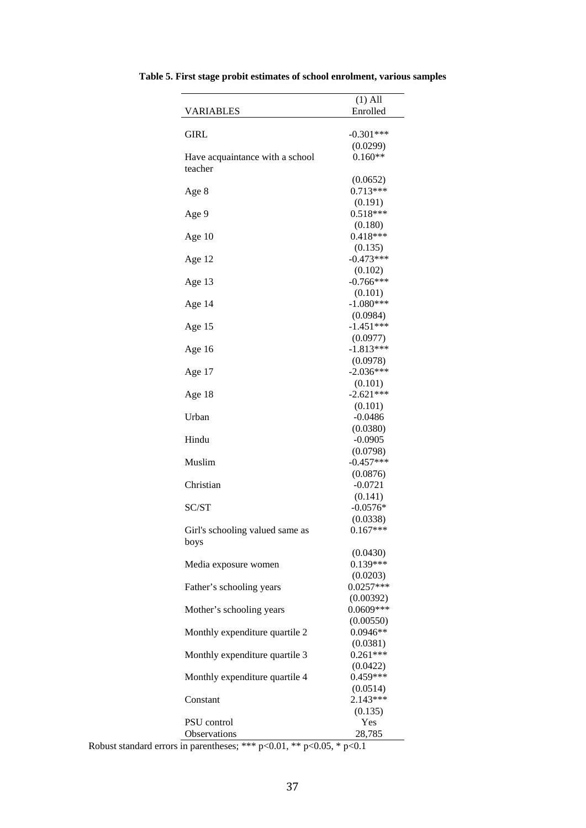|                                            | $(1)$ All               |
|--------------------------------------------|-------------------------|
| <b>VARIABLES</b>                           | Enrolled                |
|                                            |                         |
| GIRL                                       | $-0.301***$             |
|                                            | (0.0299)<br>$0.160**$   |
| Have acquaintance with a school<br>teacher |                         |
|                                            | (0.0652)                |
| Age 8                                      | $0.713***$              |
|                                            | (0.191)<br>$0.518***$   |
| Age 9                                      | (0.180)                 |
| Age 10                                     | $0.418***$              |
|                                            | (0.135)                 |
| Age 12                                     | $-0.473***$             |
|                                            | (0.102)                 |
| Age 13                                     | $-0.766***$             |
|                                            | (0.101)                 |
| Age 14                                     | $-1.080***$             |
|                                            | (0.0984)                |
| Age 15                                     | $-1.451***$             |
|                                            | (0.0977)<br>$-1.813***$ |
| Age 16                                     | (0.0978)                |
| Age 17                                     | $-2.036***$             |
|                                            | (0.101)                 |
| Age 18                                     | $-2.621***$             |
|                                            | (0.101)                 |
| Urban                                      | $-0.0486$               |
|                                            | (0.0380)                |
| Hindu                                      | $-0.0905$               |
|                                            | (0.0798)                |
| Muslim                                     | $-0.457***$             |
|                                            | (0.0876)                |
| Christian                                  | $-0.0721$<br>(0.141)    |
| SC/ST                                      | $-0.0576*$              |
|                                            | (0.0338)                |
| Girl's schooling valued same as            | $0.167***$              |
| boys                                       |                         |
|                                            | (0.0430)                |
| Media exposure women                       | $0.139***$              |
|                                            | (0.0203)                |
| Father's schooling years                   | $0.0257***$             |
|                                            | (0.00392)               |
| Mother's schooling years                   | 0.0609***               |
|                                            | (0.00550)<br>$0.0946**$ |
| Monthly expenditure quartile 2             | (0.0381)                |
| Monthly expenditure quartile 3             | $0.261***$              |
|                                            | (0.0422)                |
| Monthly expenditure quartile 4             | $0.459***$              |
|                                            | (0.0514)                |
| Constant                                   | 2.143***                |
|                                            | (0.135)                 |
| <b>PSU</b> control                         | Yes                     |
| Observations                               | 28,785                  |

**Table 5. First stage probit estimates of school enrolment, various samples** 

Robust standard errors in parentheses; \*\*\*  $p<0.01$ , \*\*  $p<0.05$ , \*  $p<0.1$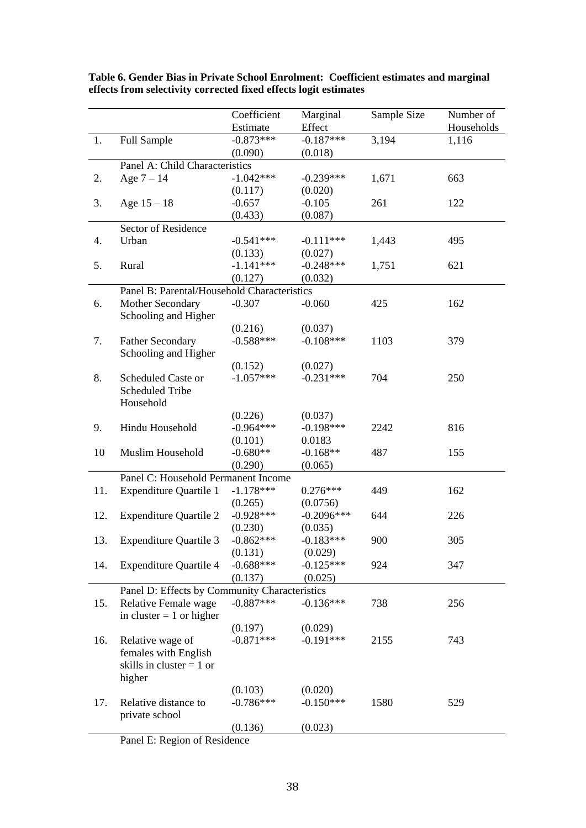|     |                                               | Coefficient | Marginal     | Sample Size | Number of  |
|-----|-----------------------------------------------|-------------|--------------|-------------|------------|
|     |                                               | Estimate    | Effect       |             | Households |
| 1.  | <b>Full Sample</b>                            | $-0.873***$ | $-0.187***$  | 3,194       | 1,116      |
|     |                                               | (0.090)     | (0.018)      |             |            |
|     | Panel A: Child Characteristics                |             |              |             |            |
| 2.  | Age $7 - 14$                                  | $-1.042***$ | $-0.239***$  | 1,671       | 663        |
|     |                                               | (0.117)     | (0.020)      |             |            |
| 3.  | Age $15 - 18$                                 | $-0.657$    | $-0.105$     | 261         | 122        |
|     |                                               | (0.433)     | (0.087)      |             |            |
|     | Sector of Residence                           |             |              |             |            |
| 4.  | Urban                                         | $-0.541***$ | $-0.111***$  | 1,443       | 495        |
|     |                                               | (0.133)     | (0.027)      |             |            |
| 5.  | Rural                                         | $-1.141***$ | $-0.248***$  | 1,751       | 621        |
|     |                                               | (0.127)     | (0.032)      |             |            |
|     | Panel B: Parental/Household Characteristics   |             |              |             |            |
| 6.  | Mother Secondary                              | $-0.307$    | $-0.060$     | 425         | 162        |
|     | Schooling and Higher                          |             |              |             |            |
|     |                                               | (0.216)     | (0.037)      |             |            |
| 7.  | <b>Father Secondary</b>                       | $-0.588***$ | $-0.108***$  | 1103        | 379        |
|     | Schooling and Higher                          |             |              |             |            |
|     |                                               | (0.152)     | (0.027)      |             |            |
| 8.  | Scheduled Caste or                            | $-1.057***$ | $-0.231***$  | 704         | 250        |
|     | <b>Scheduled Tribe</b>                        |             |              |             |            |
|     | Household                                     |             |              |             |            |
|     |                                               | (0.226)     | (0.037)      |             |            |
| 9.  | Hindu Household                               | $-0.964***$ | $-0.198***$  | 2242        | 816        |
|     |                                               | (0.101)     | 0.0183       |             |            |
| 10  | Muslim Household                              | $-0.680**$  | $-0.168**$   | 487         | 155        |
|     |                                               | (0.290)     | (0.065)      |             |            |
|     | Panel C: Household Permanent Income           |             |              |             |            |
| 11. | <b>Expenditure Quartile 1</b>                 | $-1.178***$ | $0.276***$   | 449         | 162        |
|     |                                               | (0.265)     | (0.0756)     |             |            |
| 12. | <b>Expenditure Quartile 2</b>                 | $-0.928***$ | $-0.2096***$ | 644         | 226        |
|     |                                               | (0.230)     | (0.035)      |             |            |
| 13. | <b>Expenditure Quartile 3</b>                 | $-0.862***$ | $-0.183***$  | 900         | 305        |
|     |                                               | (0.131)     | (0.029)      |             |            |
| 14. | <b>Expenditure Quartile 4</b>                 | $-0.688***$ | $-0.125***$  | 924         | 347        |
|     |                                               | (0.137)     | (0.025)      |             |            |
|     | Panel D: Effects by Community Characteristics |             |              |             |            |
| 15. | Relative Female wage                          | $-0.887***$ | $-0.136***$  | 738         | 256        |
|     | in cluster $= 1$ or higher                    |             |              |             |            |
|     |                                               | (0.197)     | (0.029)      |             |            |
| 16. | Relative wage of                              | $-0.871***$ | $-0.191***$  | 2155        | 743        |
|     | females with English                          |             |              |             |            |
|     | skills in cluster $= 1$ or                    |             |              |             |            |
|     | higher                                        |             |              |             |            |
|     |                                               | (0.103)     | (0.020)      |             |            |
| 17. | Relative distance to                          | $-0.786***$ | $-0.150***$  | 1580        | 529        |
|     | private school                                |             |              |             |            |
|     |                                               | (0.136)     | (0.023)      |             |            |
|     |                                               |             |              |             |            |

**Table 6. Gender Bias in Private School Enrolment: Coefficient estimates and marginal effects from selectivity corrected fixed effects logit estimates** 

Panel E: Region of Residence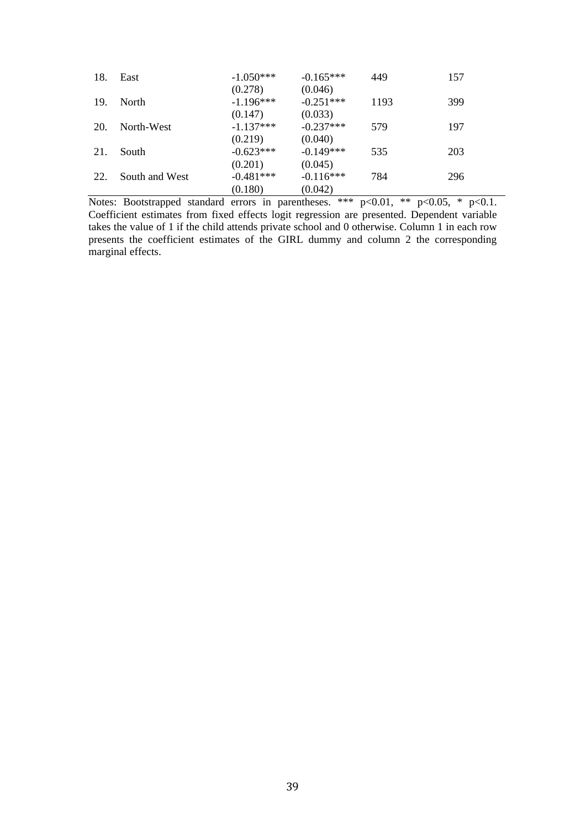| 18. | East           | $-1.050***$ | $-0.165***$ | 449  | 157 |
|-----|----------------|-------------|-------------|------|-----|
|     |                | (0.278)     | (0.046)     |      |     |
| 19. | North          | $-1.196***$ | $-0.251***$ | 1193 | 399 |
|     |                | (0.147)     | (0.033)     |      |     |
| 20. | North-West     | $-1.137***$ | $-0.237***$ | 579  | 197 |
|     |                | (0.219)     | (0.040)     |      |     |
| 21. | South          | $-0.623***$ | $-0.149***$ | 535  | 203 |
|     |                | (0.201)     | (0.045)     |      |     |
| 22. | South and West | $-0.481***$ | $-0.116***$ | 784  | 296 |
|     |                | (0.180)     | (0.042)     |      |     |

Notes: Bootstrapped standard errors in parentheses. \*\*\*  $p<0.01$ , \*\*  $p<0.05$ , \*  $p<0.1$ . Coefficient estimates from fixed effects logit regression are presented. Dependent variable takes the value of 1 if the child attends private school and 0 otherwise. Column 1 in each row presents the coefficient estimates of the GIRL dummy and column 2 the corresponding marginal effects.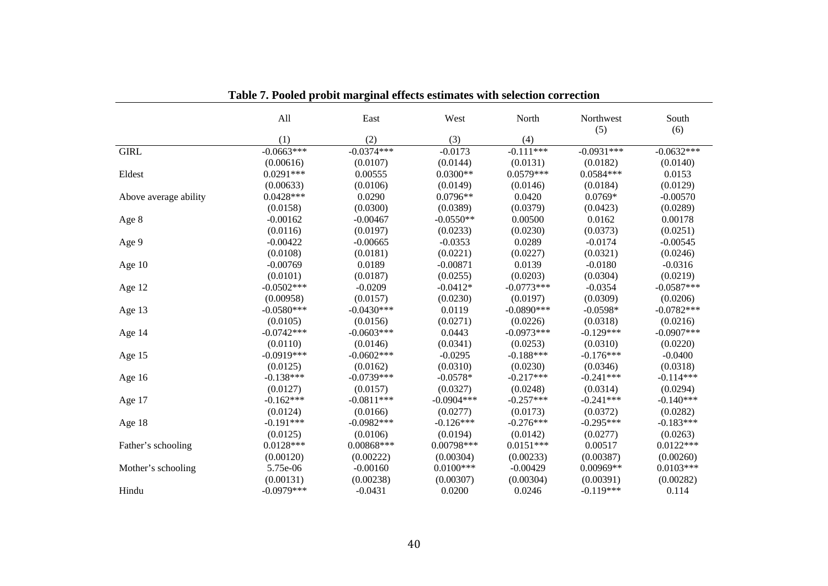|                       | All           | East         | West         | North        | Northwest<br>(5) | South<br>(6)  |
|-----------------------|---------------|--------------|--------------|--------------|------------------|---------------|
|                       | (1)           | (2)          | (3)          | (4)          |                  |               |
| <b>GIRL</b>           | $-0.0663***$  | $-0.0374***$ | $-0.0173$    | $-0.111***$  | $-0.0931***$     | $-0.0632***$  |
|                       | (0.00616)     | (0.0107)     | (0.0144)     | (0.0131)     | (0.0182)         | (0.0140)      |
| Eldest                | $0.0291***$   | 0.00555      | $0.0300**$   | $0.0579***$  | $0.0584***$      | 0.0153        |
|                       | (0.00633)     | (0.0106)     | (0.0149)     | (0.0146)     | (0.0184)         | (0.0129)      |
| Above average ability | $0.0428***$   | 0.0290       | $0.0796**$   | 0.0420       | $0.0769*$        | $-0.00570$    |
|                       | (0.0158)      | (0.0300)     | (0.0389)     | (0.0379)     | (0.0423)         | (0.0289)      |
| Age 8                 | $-0.00162$    | $-0.00467$   | $-0.0550**$  | 0.00500      | 0.0162           | 0.00178       |
|                       | (0.0116)      | (0.0197)     | (0.0233)     | (0.0230)     | (0.0373)         | (0.0251)      |
| Age 9                 | $-0.00422$    | $-0.00665$   | $-0.0353$    | 0.0289       | $-0.0174$        | $-0.00545$    |
|                       | (0.0108)      | (0.0181)     | (0.0221)     | (0.0227)     | (0.0321)         | (0.0246)      |
| Age 10                | $-0.00769$    | 0.0189       | $-0.00871$   | 0.0139       | $-0.0180$        | $-0.0316$     |
|                       | (0.0101)      | (0.0187)     | (0.0255)     | (0.0203)     | (0.0304)         | (0.0219)      |
| Age 12                | $-0.0502$ *** | $-0.0209$    | $-0.0412*$   | $-0.0773***$ | $-0.0354$        | $-0.0587***$  |
|                       | (0.00958)     | (0.0157)     | (0.0230)     | (0.0197)     | (0.0309)         | (0.0206)      |
| Age 13                | $-0.0580***$  | $-0.0430***$ | 0.0119       | $-0.0890***$ | $-0.0598*$       | $-0.0782***$  |
|                       | (0.0105)      | (0.0156)     | (0.0271)     | (0.0226)     | (0.0318)         | (0.0216)      |
| Age 14                | $-0.0742***$  | $-0.0603***$ | 0.0443       | $-0.0973***$ | $-0.129***$      | $-0.0907$ *** |
|                       | (0.0110)      | (0.0146)     | (0.0341)     | (0.0253)     | (0.0310)         | (0.0220)      |
| Age 15                | $-0.0919***$  | $-0.0602***$ | $-0.0295$    | $-0.188***$  | $-0.176***$      | $-0.0400$     |
|                       | (0.0125)      | (0.0162)     | (0.0310)     | (0.0230)     | (0.0346)         | (0.0318)      |
| Age 16                | $-0.138***$   | $-0.0739***$ | $-0.0578*$   | $-0.217***$  | $-0.241***$      | $-0.114***$   |
|                       | (0.0127)      | (0.0157)     | (0.0327)     | (0.0248)     | (0.0314)         | (0.0294)      |
| Age 17                | $-0.162***$   | $-0.0811***$ | $-0.0904***$ | $-0.257***$  | $-0.241***$      | $-0.140***$   |
|                       | (0.0124)      | (0.0166)     | (0.0277)     | (0.0173)     | (0.0372)         | (0.0282)      |
| Age 18                | $-0.191***$   | $-0.0982***$ | $-0.126***$  | $-0.276***$  | $-0.295***$      | $-0.183***$   |
|                       | (0.0125)      | (0.0106)     | (0.0194)     | (0.0142)     | (0.0277)         | (0.0263)      |
| Father's schooling    | $0.0128***$   | $0.00868***$ | 0.00798***   | $0.0151***$  | 0.00517          | $0.0122***$   |
|                       | (0.00120)     | (0.00222)    | (0.00304)    | (0.00233)    | (0.00387)        | (0.00260)     |
| Mother's schooling    | 5.75e-06      | $-0.00160$   | $0.0100$ *** | $-0.00429$   | 0.00969**        | $0.0103***$   |
|                       | (0.00131)     | (0.00238)    | (0.00307)    | (0.00304)    | (0.00391)        | (0.00282)     |
| Hindu                 | $-0.0979***$  | $-0.0431$    | 0.0200       | 0.0246       | $-0.119***$      | 0.114         |

**Table 7. Pooled probit marginal effects estimates with selection correction**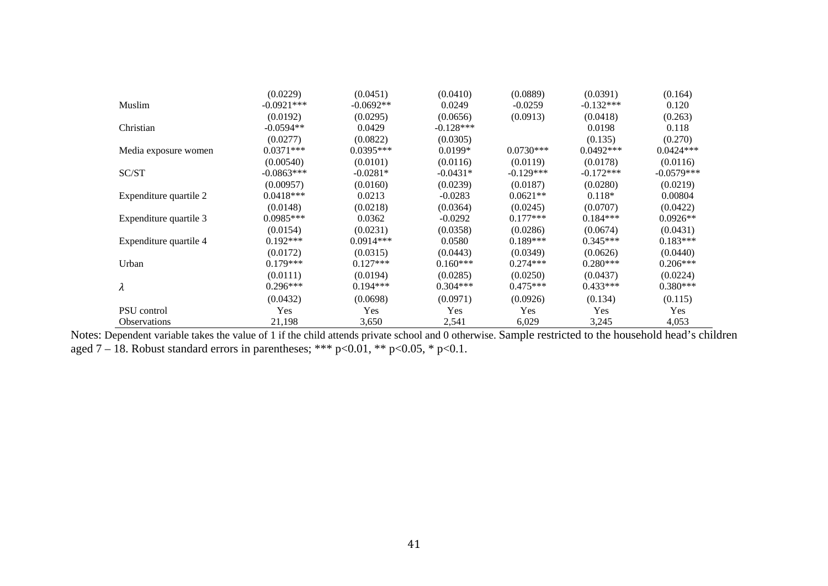|                        | (0.0229)     | (0.0451)    | (0.0410)    | (0.0889)    | (0.0391)    | (0.164)      |
|------------------------|--------------|-------------|-------------|-------------|-------------|--------------|
| Muslim                 | $-0.0921***$ | $-0.0692**$ | 0.0249      | $-0.0259$   | $-0.132***$ | 0.120        |
|                        | (0.0192)     | (0.0295)    | (0.0656)    | (0.0913)    | (0.0418)    | (0.263)      |
| Christian              | $-0.0594**$  | 0.0429      | $-0.128***$ |             | 0.0198      | 0.118        |
|                        | (0.0277)     | (0.0822)    | (0.0305)    |             | (0.135)     | (0.270)      |
| Media exposure women   | $0.0371***$  | $0.0395***$ | $0.0199*$   | $0.0730***$ | $0.0492***$ | $0.0424***$  |
|                        | (0.00540)    | (0.0101)    | (0.0116)    | (0.0119)    | (0.0178)    | (0.0116)     |
| SC/ST                  | $-0.0863***$ | $-0.0281*$  | $-0.0431*$  | $-0.129***$ | $-0.172***$ | $-0.0579***$ |
|                        | (0.00957)    | (0.0160)    | (0.0239)    | (0.0187)    | (0.0280)    | (0.0219)     |
| Expenditure quartile 2 | $0.0418***$  | 0.0213      | $-0.0283$   | $0.0621**$  | $0.118*$    | 0.00804      |
|                        | (0.0148)     | (0.0218)    | (0.0364)    | (0.0245)    | (0.0707)    | (0.0422)     |
| Expenditure quartile 3 | $0.0985***$  | 0.0362      | $-0.0292$   | $0.177***$  | $0.184***$  | $0.0926**$   |
|                        | (0.0154)     | (0.0231)    | (0.0358)    | (0.0286)    | (0.0674)    | (0.0431)     |
| Expenditure quartile 4 | $0.192***$   | $0.0914***$ | 0.0580      | $0.189***$  | $0.345***$  | $0.183***$   |
|                        | (0.0172)     | (0.0315)    | (0.0443)    | (0.0349)    | (0.0626)    | (0.0440)     |
| Urban                  | $0.179***$   | $0.127***$  | $0.160***$  | $0.274***$  | $0.280***$  | $0.206***$   |
|                        | (0.0111)     | (0.0194)    | (0.0285)    | (0.0250)    | (0.0437)    | (0.0224)     |
| $\lambda$              | $0.296***$   | $0.194***$  | $0.304***$  | $0.475***$  | $0.433***$  | $0.380***$   |
|                        | (0.0432)     | (0.0698)    | (0.0971)    | (0.0926)    | (0.134)     | (0.115)      |
| <b>PSU</b> control     | Yes          | Yes         | Yes         | Yes         | Yes         | Yes          |
| <b>Observations</b>    | 21,198       | 3,650       | 2,541       | 6,029       | 3,245       | 4,053        |

Notes: Dependent variable takes the value of 1 if the child attends private school and 0 otherwise. Sample restricted to the household head's children aged 7 – 18. Robust standard errors in parentheses; \*\*\*  $p<0.01$ , \*\*  $p<0.05$ , \*  $p<0.1$ .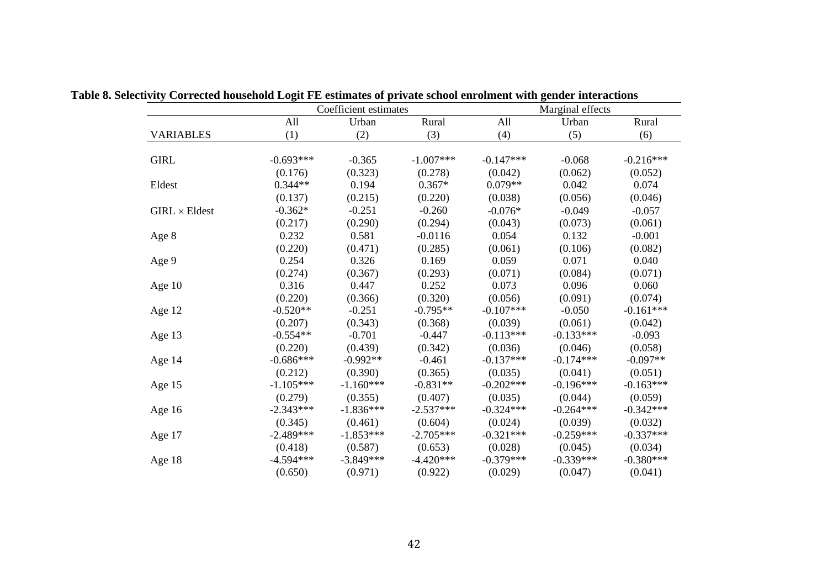|                      |             | Coefficient estimates |             |             | Marginal effects |             |
|----------------------|-------------|-----------------------|-------------|-------------|------------------|-------------|
|                      | All         | Urban                 | Rural       | All         | Urban            | Rural       |
| <b>VARIABLES</b>     | (1)         | (2)                   | (3)         | (4)         | (5)              | (6)         |
| <b>GIRL</b>          | $-0.693***$ | $-0.365$              | $-1.007***$ | $-0.147***$ | $-0.068$         | $-0.216***$ |
|                      | (0.176)     | (0.323)               | (0.278)     | (0.042)     | (0.062)          | (0.052)     |
| Eldest               | $0.344**$   | 0.194                 | $0.367*$    | $0.079**$   | 0.042            | 0.074       |
|                      | (0.137)     | (0.215)               | (0.220)     | (0.038)     | (0.056)          | (0.046)     |
| $GIRL \times Eldest$ | $-0.362*$   | $-0.251$              | $-0.260$    | $-0.076*$   | $-0.049$         | $-0.057$    |
|                      | (0.217)     | (0.290)               | (0.294)     | (0.043)     | (0.073)          | (0.061)     |
| Age 8                | 0.232       | 0.581                 | $-0.0116$   | 0.054       | 0.132            | $-0.001$    |
|                      | (0.220)     | (0.471)               | (0.285)     | (0.061)     | (0.106)          | (0.082)     |
| Age 9                | 0.254       | 0.326                 | 0.169       | 0.059       | 0.071            | 0.040       |
|                      | (0.274)     | (0.367)               | (0.293)     | (0.071)     | (0.084)          | (0.071)     |
| Age 10               | 0.316       | 0.447                 | 0.252       | 0.073       | 0.096            | 0.060       |
|                      | (0.220)     | (0.366)               | (0.320)     | (0.056)     | (0.091)          | (0.074)     |
| Age 12               | $-0.520**$  | $-0.251$              | $-0.795**$  | $-0.107***$ | $-0.050$         | $-0.161***$ |
|                      | (0.207)     | (0.343)               | (0.368)     | (0.039)     | (0.061)          | (0.042)     |
| Age 13               | $-0.554**$  | $-0.701$              | $-0.447$    | $-0.113***$ | $-0.133***$      | $-0.093$    |
|                      | (0.220)     | (0.439)               | (0.342)     | (0.036)     | (0.046)          | (0.058)     |
| Age 14               | $-0.686***$ | $-0.992**$            | $-0.461$    | $-0.137***$ | $-0.174***$      | $-0.097**$  |
|                      | (0.212)     | (0.390)               | (0.365)     | (0.035)     | (0.041)          | (0.051)     |
| Age 15               | $-1.105***$ | $-1.160***$           | $-0.831**$  | $-0.202***$ | $-0.196***$      | $-0.163***$ |
|                      | (0.279)     | (0.355)               | (0.407)     | (0.035)     | (0.044)          | (0.059)     |
| Age 16               | $-2.343***$ | $-1.836***$           | $-2.537***$ | $-0.324***$ | $-0.264***$      | $-0.342***$ |
|                      | (0.345)     | (0.461)               | (0.604)     | (0.024)     | (0.039)          | (0.032)     |
| Age 17               | $-2.489***$ | $-1.853***$           | $-2.705***$ | $-0.321***$ | $-0.259***$      | $-0.337***$ |
|                      | (0.418)     | (0.587)               | (0.653)     | (0.028)     | (0.045)          | (0.034)     |
| Age 18               | $-4.594***$ | $-3.849***$           | $-4.420***$ | $-0.379***$ | $-0.339***$      | $-0.380***$ |
|                      | (0.650)     | (0.971)               | (0.922)     | (0.029)     | (0.047)          | (0.041)     |

**Table 8. Selectivity Corrected household Logit FE estimates of private school enrolment with gender interactions**